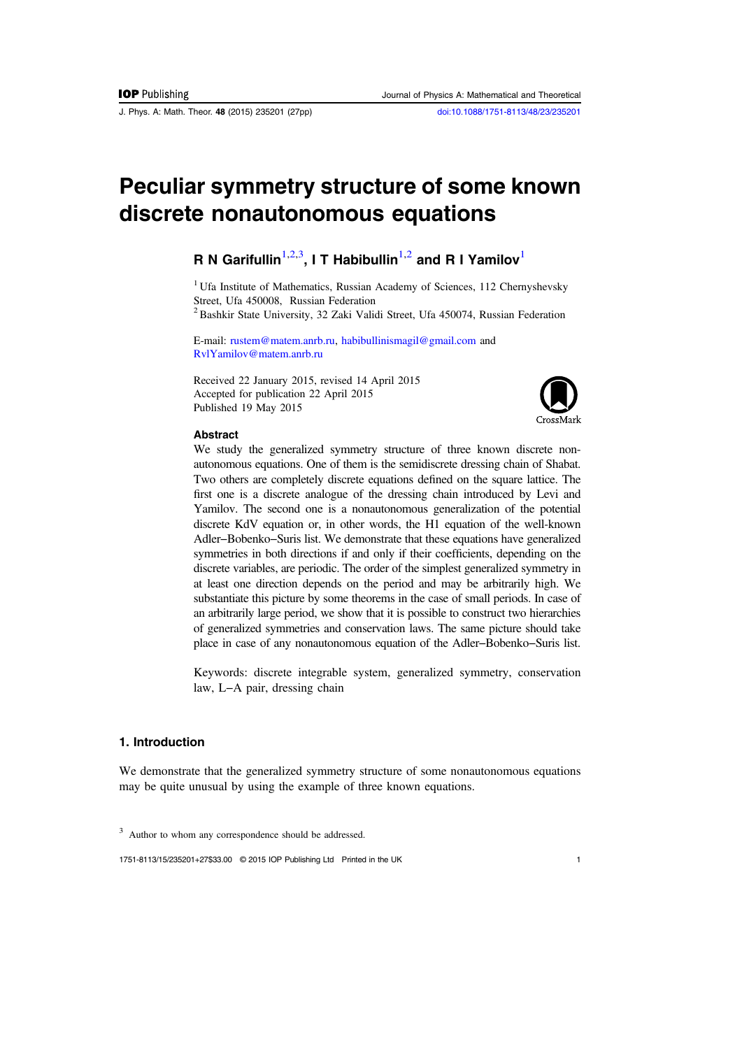J. Phys. A: Math. Theor. 48 (2015) 235201 (27pp) [doi:10.1088/1751-8113/48/23/235201](http://dx.doi.org/10.1088/1751-8113/48/23/235201)

# Peculiar symmetry structure of some known discrete nonautonomous equations

# R N Garifullin $^{1,2,3}$ , I T Habibullin $^{1,2}$  and R I Yamilov $^{\rm l}$

<sup>1</sup> Ufa Institute of Mathematics, Russian Academy of Sciences, 112 Chernyshevsky Street, Ufa 450008, Russian Federation

<sup>2</sup> Bashkir State University, 32 Zaki Validi Street, Ufa 450074, Russian Federation

E-mail: [rustem@matem.anrb.ru,](mailto:rustem@matem.anrb.ru) [habibullinismagil@gmail.com](mailto:habibullinismagil@gmail.com) and [RvlYamilov@matem.anrb.ru](mailto:RvlYamilov@matem.anrb.ru)

Received 22 January 2015, revised 14 April 2015 Accepted for publication 22 April 2015 Published 19 May 2015



# Abstract

We study the generalized symmetry structure of three known discrete nonautonomous equations. One of them is the semidiscrete dressing chain of Shabat. Two others are completely discrete equations defined on the square lattice. The first one is a discrete analogue of the dressing chain introduced by Levi and Yamilov. The second one is a nonautonomous generalization of the potential discrete KdV equation or, in other words, the H1 equation of the well-known Adler−Bobenko−Suris list. We demonstrate that these equations have generalized symmetries in both directions if and only if their coefficients, depending on the discrete variables, are periodic. The order of the simplest generalized symmetry in at least one direction depends on the period and may be arbitrarily high. We substantiate this picture by some theorems in the case of small periods. In case of an arbitrarily large period, we show that it is possible to construct two hierarchies of generalized symmetries and conservation laws. The same picture should take place in case of any nonautonomous equation of the Adler−Bobenko−Suris list.

Keywords: discrete integrable system, generalized symmetry, conservation law, L−A pair, dressing chain

# 1. Introduction

We demonstrate that the generalized symmetry structure of some nonautonomous equations may be quite unusual by using the example of three known equations.

1751-8113/15/235201+27\$33.00 © 2015 IOP Publishing Ltd Printed in the UK 1

<sup>&</sup>lt;sup>3</sup> Author to whom any correspondence should be addressed.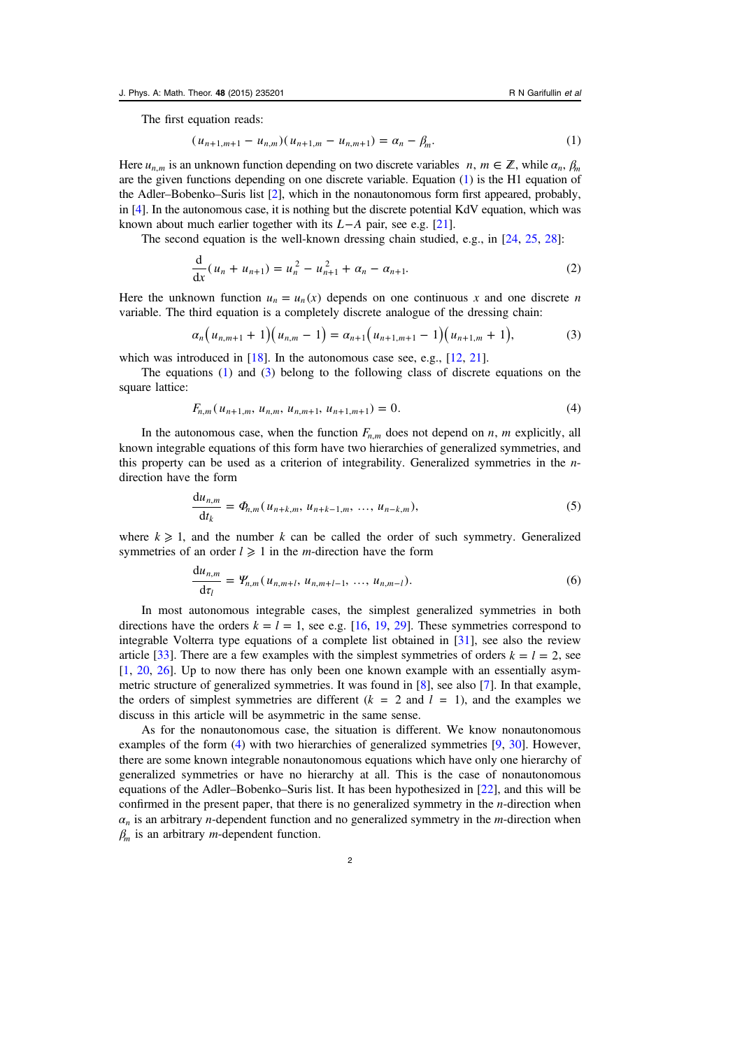<span id="page-1-0"></span>The first equation reads:

$$
(u_{n+1,m+1} - u_{n,m})(u_{n+1,m} - u_{n,m+1}) = \alpha_n - \beta_m.
$$
 (1)

Here  $u_{n,m}$  is an unknown function depending on two discrete variables  $n, m \in \mathbb{Z}$ , while  $\alpha_n, \beta_m$ are the given functions depending on one discrete variable. Equation (1) is the H1 equation of the Adler–Bobenko–Suris list [\[2\]](#page-25-0), which in the nonautonomous form first appeared, probably, in [[4\]](#page-25-0). In the autonomous case, it is nothing but the discrete potential KdV equation, which was known about much earlier together with its *L*−*A* pair, see e.g. [\[21](#page-26-0)].

The second equation is the well-known dressing chain studied, e.g., in [[24,](#page-26-0) [25,](#page-26-0) [28](#page-26-0)]:

$$
\frac{d}{dx}(u_n + u_{n+1}) = u_n^2 - u_{n+1}^2 + \alpha_n - \alpha_{n+1}.
$$
\n(2)

Here the unknown function  $u_n = u_n(x)$  depends on one continuous x and one discrete n variable. The third equation is a completely discrete analogue of the dressing chain:

$$
\alpha_n\big(u_{n,m+1}+1\big)\big(u_{n,m}-1\big)=\alpha_{n+1}\big(u_{n+1,m+1}-1\big)\big(u_{n+1,m}+1\big),\tag{3}
$$

which was introduced in [[18\]](#page-25-0). In the autonomous case see, e.g., [\[12](#page-25-0), [21\]](#page-26-0).

The equations  $(1)$  and  $(3)$  belong to the following class of discrete equations on the square lattice:

$$
F_{n,m}(u_{n+1,m}, u_{n,m}, u_{n,m+1}, u_{n+1,m+1}) = 0.
$$
\n<sup>(4)</sup>

In the autonomous case, when the function  $F_{n,m}$  does not depend on  $n, m$  explicitly, all known integrable equations of this form have two hierarchies of generalized symmetries, and this property can be used as a criterion of integrability. Generalized symmetries in the  $n$ direction have the form

$$
\frac{du_{n,m}}{dt_k} = \Phi_{n,m}(u_{n+k,m}, u_{n+k-1,m}, \dots, u_{n-k,m}),
$$
\n(5)

where  $k \geq 1$ , and the number k can be called the order of such symmetry. Generalized symmetries of an order  $l \geq 1$  in the *m*-direction have the form

$$
\frac{du_{n,m}}{dt_l} = \Psi_{n,m}(u_{n,m+l}, u_{n,m+l-1}, \dots, u_{n,m-l}).
$$
\n(6)

In most autonomous integrable cases, the simplest generalized symmetries in both directions have the orders  $k = l = 1$ , see e.g. [[16,](#page-25-0) [19,](#page-26-0) [29](#page-26-0)]. These symmetries correspond to integrable Volterra type equations of a complete list obtained in [[31\]](#page-26-0), see also the review article [\[33](#page-26-0)]. There are a few examples with the simplest symmetries of orders  $k = l = 2$ , see [[1,](#page-25-0) [20,](#page-26-0) [26](#page-26-0)]. Up to now there has only been one known example with an essentially asymmetric structure of generalized symmetries. It was found in [\[8](#page-25-0)], see also [\[7](#page-25-0)]. In that example, the orders of simplest symmetries are different  $(k = 2 \text{ and } l = 1)$ , and the examples we discuss in this article will be asymmetric in the same sense.

As for the nonautonomous case, the situation is different. We know nonautonomous examples of the form (4) with two hierarchies of generalized symmetries [[9,](#page-25-0) [30\]](#page-26-0). However, there are some known integrable nonautonomous equations which have only one hierarchy of generalized symmetries or have no hierarchy at all. This is the case of nonautonomous equations of the Adler–Bobenko–Suris list. It has been hypothesized in [\[22](#page-26-0)], and this will be confirmed in the present paper, that there is no generalized symmetry in the n-direction when  $\alpha_n$  is an arbitrary *n*-dependent function and no generalized symmetry in the *m*-direction when *β<sup>m</sup>* is an arbitrary m-dependent function.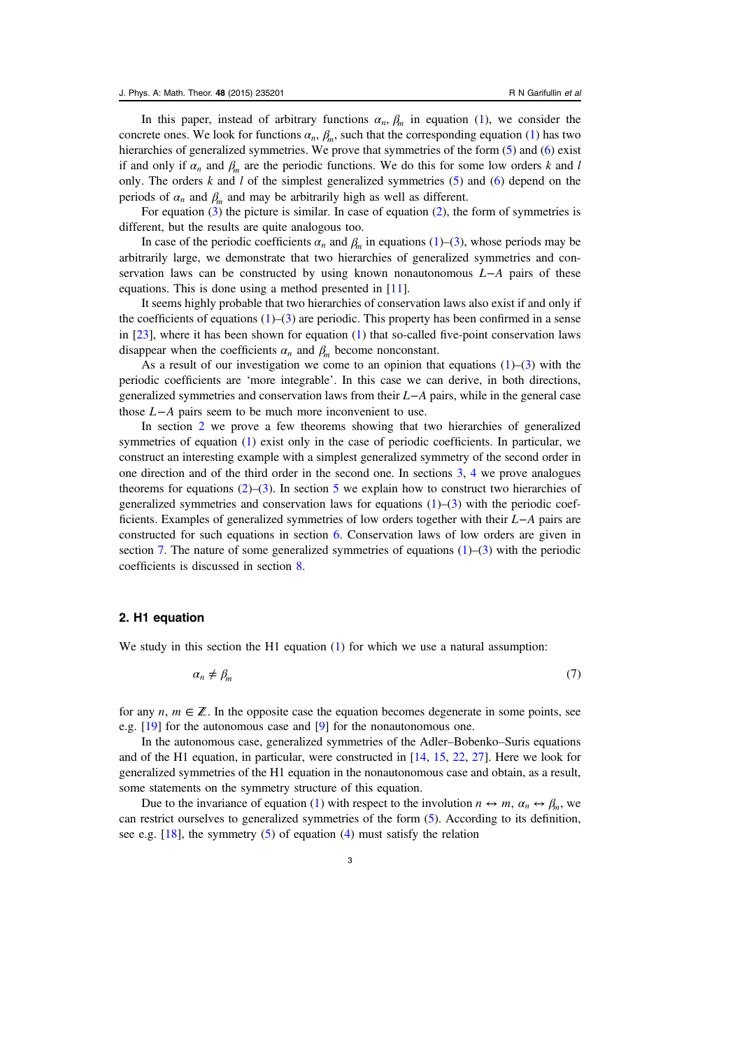<span id="page-2-0"></span>In this paper, instead of arbitrary functions  $\alpha_n$ ,  $\beta_m$  in equation [\(1](#page-1-0)), we consider the concrete ones. We look for functions  $\alpha_n$ ,  $\beta_m$ , such that the corresponding equation ([1\)](#page-1-0) has two hierarchies of generalized symmetries. We prove that symmetries of the form [\(5](#page-1-0)) and ([6\)](#page-1-0) exist if and only if  $\alpha_n$  and  $\beta_m$  are the periodic functions. We do this for some low orders k and l only. The orders  $k$  and  $l$  of the simplest generalized symmetries ([5\)](#page-1-0) and ([6\)](#page-1-0) depend on the periods of  $\alpha_n$  and  $\beta_m$  and may be arbitrarily high as well as different.

For equation [\(3](#page-1-0)) the picture is similar. In case of equation [\(2](#page-1-0)), the form of symmetries is different, but the results are quite analogous too.

In case of the periodic coefficients  $\alpha_n$  and  $\beta_m$  in equations ([1\)](#page-1-0)–[\(3](#page-1-0)), whose periods may be arbitrarily large, we demonstrate that two hierarchies of generalized symmetries and conservation laws can be constructed by using known nonautonomous *L*−*A* pairs of these equations. This is done using a method presented in [\[11](#page-25-0)].

It seems highly probable that two hierarchies of conservation laws also exist if and only if the coefficients of equations  $(1)$  $(1)$ – $(3)$  $(3)$  are periodic. This property has been confirmed in a sense in [[23\]](#page-26-0), where it has been shown for equation ([1\)](#page-1-0) that so-called five-point conservation laws disappear when the coefficients  $\alpha_n$  and  $\beta_m$  become nonconstant.

As a result of our investigation we come to an opinion that equations  $(1)$  $(1)$  $(1)$ – $(3)$  $(3)$  with the periodic coefficients are 'more integrable'. In this case we can derive, in both directions, generalized symmetries and conservation laws from their *L*−*A* pairs, while in the general case those *L*−*A* pairs seem to be much more inconvenient to use.

In section 2 we prove a few theorems showing that two hierarchies of generalized symmetries of equation [\(1](#page-1-0)) exist only in the case of periodic coefficients. In particular, we construct an interesting example with a simplest generalized symmetry of the second order in one direction and of the third order in the second one. In sections [3,](#page-6-0) [4](#page-9-0) we prove analogues theorems for equations  $(2)$  $(2)$ – $(3)$  $(3)$ . In section [5](#page-10-0) we explain how to construct two hierarchies of generalized symmetries and conservation laws for equations  $(1)$  $(1)$ – $(3)$  $(3)$  with the periodic coefficients. Examples of generalized symmetries of low orders together with their *L*−*A* pairs are constructed for such equations in section [6.](#page-19-0) Conservation laws of low orders are given in section [7.](#page-21-0) The nature of some generalized symmetries of equations  $(1)$  $(1)$ – $(3)$  $(3)$  with the periodic coefficients is discussed in section [8.](#page-23-0)

#### 2. H1 equation

We study in this section the H1 equation ([1\)](#page-1-0) for which we use a natural assumption:

$$
\alpha_n \neq \beta_m \tag{7}
$$

for any  $n, m \in \mathbb{Z}$ . In the opposite case the equation becomes degenerate in some points, see e.g. [[19](#page-26-0)] for the autonomous case and [[9\]](#page-25-0) for the nonautonomous one.

In the autonomous case, generalized symmetries of the Adler–Bobenko–Suris equations and of the H1 equation, in particular, were constructed in [\[14](#page-25-0), [15,](#page-25-0) [22](#page-26-0), [27\]](#page-26-0). Here we look for generalized symmetries of the H1 equation in the nonautonomous case and obtain, as a result, some statements on the symmetry structure of this equation.

Due to the invariance of equation [\(1](#page-1-0)) with respect to the involution  $n \leftrightarrow m$ ,  $\alpha_n \leftrightarrow \beta_n$ , we can restrict ourselves to generalized symmetries of the form ([5\)](#page-1-0). According to its definition, see e.g.  $[18]$  $[18]$ , the symmetry  $(5)$  $(5)$  of equation  $(4)$  $(4)$  must satisfy the relation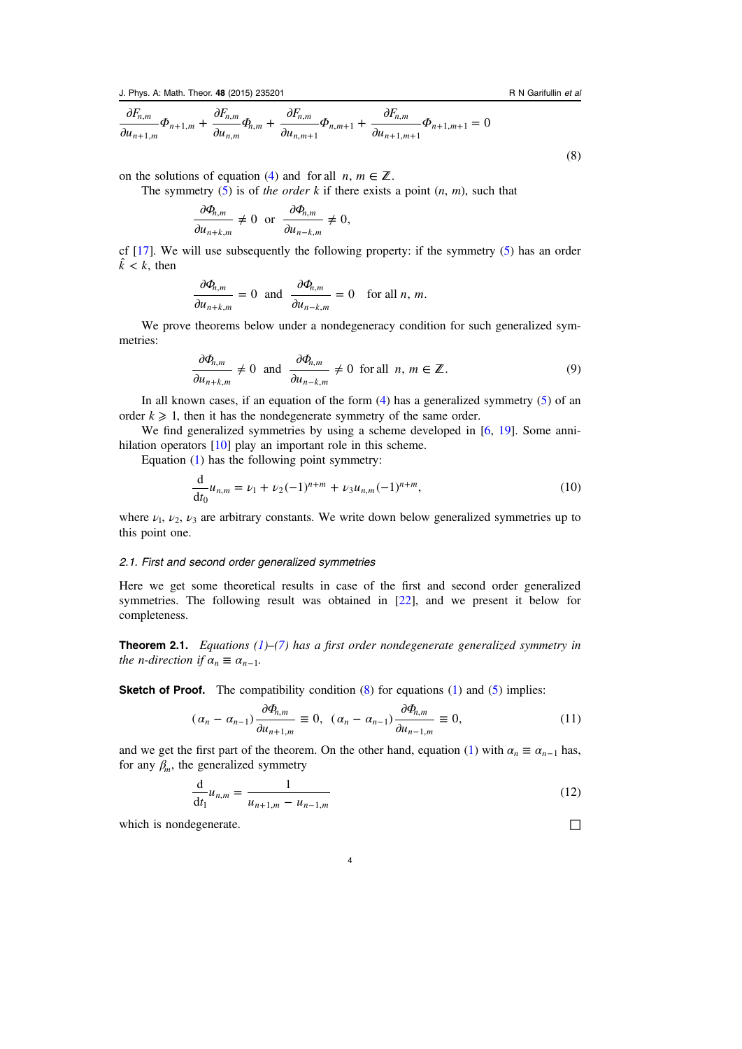<span id="page-3-0"></span>
$$
\frac{\partial F_{n,m}}{\partial u_{n+1,m}}\Phi_{n+1,m} + \frac{\partial F_{n,m}}{\partial u_{n,m}}\Phi_{n,m} + \frac{\partial F_{n,m}}{\partial u_{n,m+1}}\Phi_{n,m+1} + \frac{\partial F_{n,m}}{\partial u_{n+1,m+1}}\Phi_{n+1,m+1} = 0
$$
\n(8)

on the solutions of equation [\(4](#page-1-0)) and for all  $n, m \in \mathbb{Z}$ .

The symmetry  $(5)$  $(5)$  is of the order k if there exists a point  $(n, m)$ , such that

$$
\frac{\partial \Phi_{n,m}}{\partial u_{n+k,m}} \neq 0 \text{ or } \frac{\partial \Phi_{n,m}}{\partial u_{n-k,m}} \neq 0,
$$

cf [[17\]](#page-25-0). We will use subsequently the following property: if the symmetry [\(5](#page-1-0)) has an order  $\hat{k}$  < *k*, then

$$
\frac{\partial \Phi_{n,m}}{\partial u_{n+k,m}} = 0 \text{ and } \frac{\partial \Phi_{n,m}}{\partial u_{n-k,m}} = 0 \text{ for all } n, m.
$$

We prove theorems below under a nondegeneracy condition for such generalized symmetries:

$$
\frac{\partial \Phi_{n,m}}{\partial u_{n+k,m}} \neq 0 \text{ and } \frac{\partial \Phi_{n,m}}{\partial u_{n-k,m}} \neq 0 \text{ for all } n, m \in \mathbb{Z}.
$$
 (9)

In all known cases, if an equation of the form  $(4)$  $(4)$  has a generalized symmetry  $(5)$  $(5)$  of an order  $k \geq 1$ , then it has the nondegenerate symmetry of the same order.

We find generalized symmetries by using a scheme developed in [[6,](#page-25-0) [19](#page-26-0)]. Some anni-hilation operators [\[10](#page-25-0)] play an important role in this scheme.

Equation ([1\)](#page-1-0) has the following point symmetry:

$$
\frac{d}{dt_0}u_{n,m} = \nu_1 + \nu_2(-1)^{n+m} + \nu_3 u_{n,m}(-1)^{n+m},\tag{10}
$$

where  $\nu_1$ ,  $\nu_2$ ,  $\nu_3$  are arbitrary constants. We write down below generalized symmetries up to this point one.

#### 2.1. First and second order generalized symmetries

Here we get some theoretical results in case of the first and second order generalized symmetries. The following result was obtained in [\[22](#page-26-0)], and we present it below for completeness.

**Theorem 2.1.** Equations  $(1)$  $(1)$ – $(7)$  $(7)$  has a first order nondegenerate generalized symmetry in the *n*-direction if  $\alpha_n \equiv \alpha_{n-1}$ .

**Sketch of Proof.** The compatibility condition  $(8)$  $(8)$  $(8)$  for equations  $(1)$  $(1)$  and  $(5)$  $(5)$  implies:

$$
(\alpha_n - \alpha_{n-1}) \frac{\partial \Phi_{n,m}}{\partial u_{n+1,m}} \equiv 0, \quad (\alpha_n - \alpha_{n-1}) \frac{\partial \Phi_{n,m}}{\partial u_{n-1,m}} \equiv 0,\tag{11}
$$

and we get the first part of the theorem. On the other hand, equation ([1\)](#page-1-0) with  $\alpha_n \equiv \alpha_{n-1}$  has, for any  $\beta_m$ , the generalized symmetry

4

$$
\frac{d}{dt_1}u_{n,m} = \frac{1}{u_{n+1,m} - u_{n-1,m}}
$$
(12)

which is nondegenerate.  $□$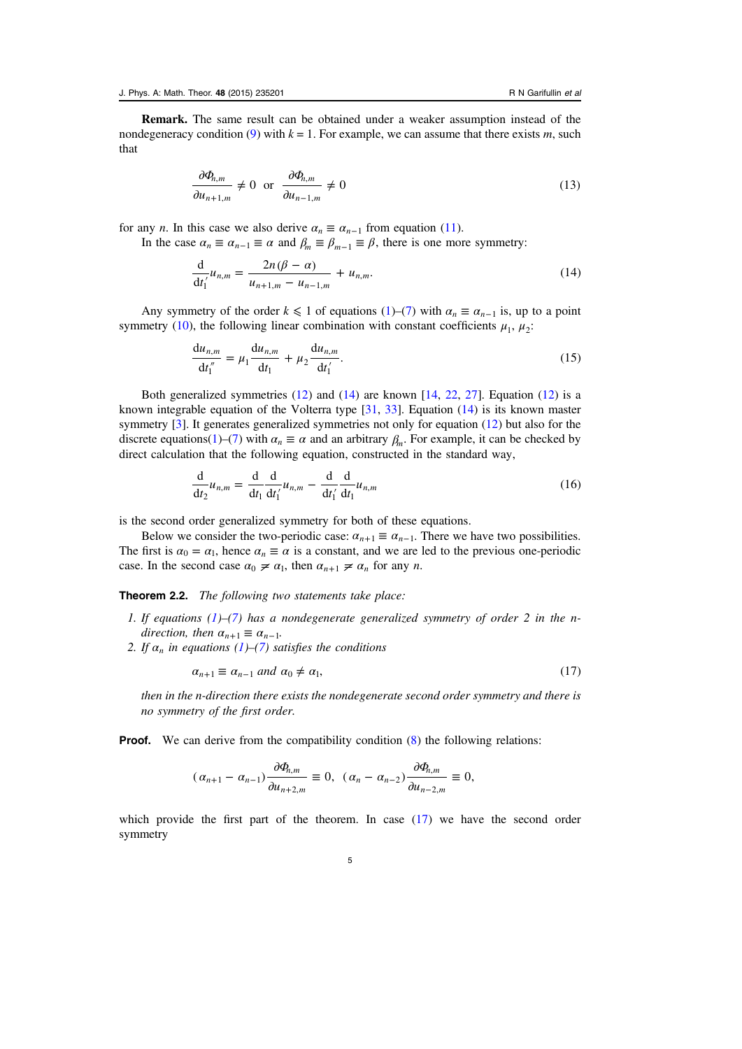<span id="page-4-0"></span>Remark. The same result can be obtained under a weaker assumption instead of the nondegeneracy condition ([9\)](#page-3-0) with  $k = 1$ . For example, we can assume that there exists m, such that

$$
\frac{\partial \Phi_{n,m}}{\partial u_{n+1,m}} \neq 0 \quad \text{or} \quad \frac{\partial \Phi_{n,m}}{\partial u_{n-1,m}} \neq 0 \tag{13}
$$

for any *n*. In this case we also derive  $\alpha_n \equiv \alpha_{n-1}$  from equation ([11\)](#page-3-0).

In the case  $\alpha_n \equiv \alpha_{n-1} \equiv \alpha$  and  $\beta_m \equiv \beta_{m-1} \equiv \beta$ , there is one more symmetry:

$$
\frac{d}{dt_1}u_{n,m} = \frac{2n(\beta - \alpha)}{u_{n+1,m} - u_{n-1,m}} + u_{n,m}.
$$
\n(14)

Any symmetry of the order  $k \leq 1$  of equations [\(1](#page-1-0))–([7\)](#page-2-0) with  $\alpha_n \equiv \alpha_{n-1}$  is, up to a point symmetry ([10\)](#page-3-0), the following linear combination with constant coefficients  $\mu_1$ ,  $\mu_2$ :

$$
\frac{du_{n,m}}{dt_1''} = \mu_1 \frac{du_{n,m}}{dt_1} + \mu_2 \frac{du_{n,m}}{dt_1'}.
$$
\n(15)

Both generalized symmetries  $(12)$  $(12)$  and  $(14)$  are known  $[14, 22, 27]$  $[14, 22, 27]$  $[14, 22, 27]$  $[14, 22, 27]$  $[14, 22, 27]$  $[14, 22, 27]$ . Equation  $(12)$  is a known integrable equation of the Volterra type [\[31](#page-26-0), [33\]](#page-26-0). Equation (14) is its known master symmetry [\[3](#page-25-0)]. It generates generalized symmetries not only for equation ([12\)](#page-3-0) but also for the discrete equations([1](#page-1-0))–[\(7](#page-2-0)) with  $\alpha_n \equiv \alpha$  and an arbitrary  $\beta_n$ . For example, it can be checked by direct calculation that the following equation, constructed in the standard way,

$$
\frac{d}{dt_2}u_{n,m} = \frac{d}{dt_1}\frac{d}{dt'_1}u_{n,m} - \frac{d}{dt'_1}\frac{d}{dt_1}u_{n,m}
$$
\n(16)

is the second order generalized symmetry for both of these equations.

Below we consider the two-periodic case:  $\alpha_{n+1} \equiv \alpha_{n-1}$ . There we have two possibilities. The first is  $\alpha_0 = \alpha_1$ , hence  $\alpha_n \equiv \alpha$  is a constant, and we are led to the previous one-periodic case. In the second case  $\alpha_0 \neq \alpha_1$ , then  $\alpha_{n+1} \neq \alpha_n$  for any *n*.

Theorem 2.2. The following two statements take place:

- 1. If equations  $(1)$  $(1)$ – $(7)$  $(7)$  has a nondegenerate generalized symmetry of order 2 in the n*direction, then*  $\alpha_{n+1} \equiv \alpha_{n-1}$ .
- 2. If  $\alpha_n$  in equations [\(1](#page-1-0))–([7\)](#page-2-0) satisfies the conditions

$$
\alpha_{n+1} \equiv \alpha_{n-1} \text{ and } \alpha_0 \neq \alpha_1,\tag{17}
$$

then in the n-direction there exists the nondegenerate second order symmetry and there is no symmetry of the first order.

**Proof.** We can derive from the compatibility condition  $(8)$  $(8)$  the following relations:

$$
(\alpha_{n+1}-\alpha_{n-1})\frac{\partial \Phi_{n,m}}{\partial u_{n+2,m}}\equiv 0, \ (\alpha_n-\alpha_{n-2})\frac{\partial \Phi_{n,m}}{\partial u_{n-2,m}}\equiv 0,
$$

which provide the first part of the theorem. In case (17) we have the second order symmetry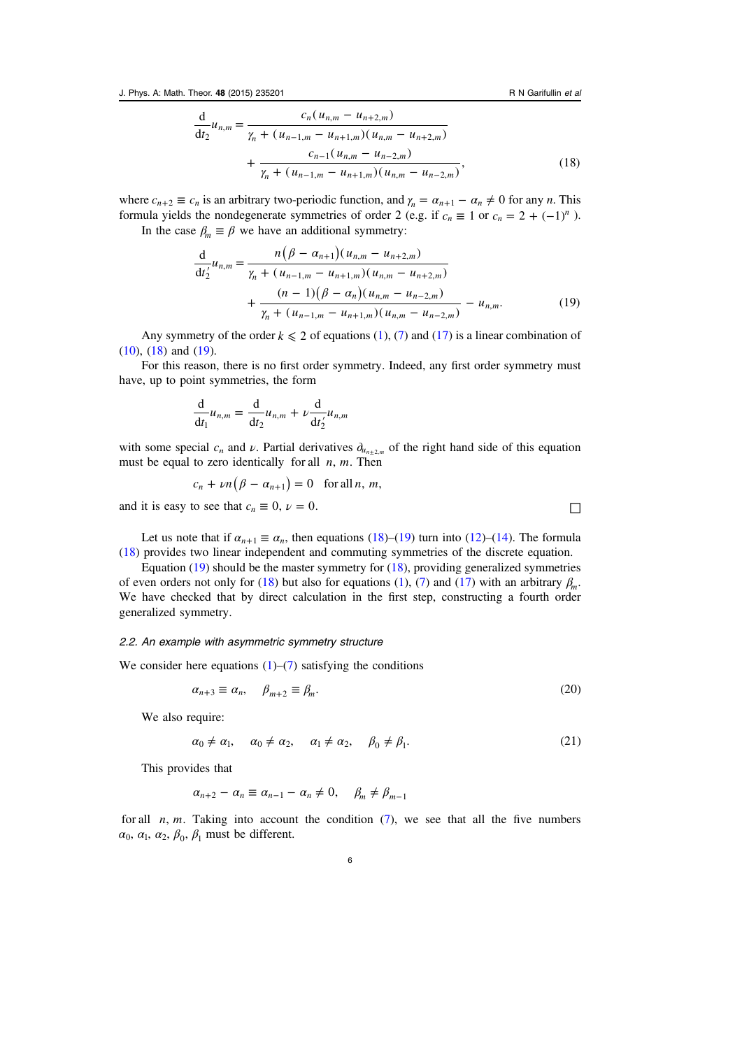<span id="page-5-0"></span>
$$
\frac{d}{dt_2}u_{n,m} = \frac{c_n(u_{n,m} - u_{n+2,m})}{\gamma_n + (u_{n-1,m} - u_{n+1,m})(u_{n,m} - u_{n+2,m})} + \frac{c_{n-1}(u_{n,m} - u_{n-2,m})}{\gamma_n + (u_{n-1,m} - u_{n+1,m})(u_{n,m} - u_{n-2,m})},
$$
(18)

where  $c_{n+2} \equiv c_n$  is an arbitrary two-periodic function, and  $\gamma_n = \alpha_{n+1} - \alpha_n \neq 0$  for any *n*. This formula yields the nondegenerate symmetries of order 2 (e.g. if  $c_n \equiv 1$  or  $c_n = 2 + (-1)^n$ ). In the case  $\beta_m \equiv \beta$  we have an additional symmetry:

$$
\frac{d}{dt'_2}u_{n,m} = \frac{n(\beta - \alpha_{n+1})(u_{n,m} - u_{n+2,m})}{\gamma_n + (u_{n-1,m} - u_{n+1,m})(u_{n,m} - u_{n+2,m})} + \frac{(n-1)(\beta - \alpha_n)(u_{n,m} - u_{n-2,m})}{\gamma_n + (u_{n-1,m} - u_{n+1,m})(u_{n,m} - u_{n-2,m})} - u_{n,m}.
$$
\n(19)

Any symmetry of the order  $k \le 2$  of equations [\(1](#page-1-0)), [\(7](#page-2-0)) and ([17\)](#page-4-0) is a linear combination of ([10\)](#page-3-0), [\(18](#page-4-0)) and (19).

For this reason, there is no first order symmetry. Indeed, any first order symmetry must have, up to point symmetries, the form

$$
\frac{\mathrm{d}}{\mathrm{d}t_1}u_{n,m} = \frac{\mathrm{d}}{\mathrm{d}t_2}u_{n,m} + \nu \frac{\mathrm{d}}{\mathrm{d}t'_2}u_{n,m}
$$

with some special  $c_n$  and  $\nu$ . Partial derivatives  $\partial_{u_{n+2,m}}$  of the right hand side of this equation must be equal to zero identically for all *n*, *m*. Then

$$
c_n + \nu n(\beta - \alpha_{n+1}) = 0 \text{ for all } n, m,
$$

and it is easy to see that  $c_n \equiv 0$ ,  $\nu = 0$ .

Let us note that if  $\alpha_{n+1} \equiv \alpha_n$ , then equations [\(18](#page-4-0))–(19) turn into ([12\)](#page-3-0)–([14\)](#page-4-0). The formula ([18\)](#page-4-0) provides two linear independent and commuting symmetries of the discrete equation.

Equation  $(19)$  should be the master symmetry for  $(18)$  $(18)$ , providing generalized symmetries of even orders not only for [\(18](#page-4-0)) but also for equations ([1\)](#page-1-0), ([7\)](#page-2-0) and [\(17](#page-4-0)) with an arbitrary *βm*. We have checked that by direct calculation in the first step, constructing a fourth order generalized symmetry.

## 2.2. An example with asymmetric symmetry structure

We consider here equations  $(1)$  $(1)$ – $(7)$  $(7)$  satisfying the conditions

$$
\alpha_{n+3} \equiv \alpha_n, \quad \beta_{m+2} \equiv \beta_m. \tag{20}
$$

We also require:

$$
\alpha_0 \neq \alpha_1, \quad \alpha_0 \neq \alpha_2, \quad \alpha_1 \neq \alpha_2, \quad \beta_0 \neq \beta_1. \tag{21}
$$

This provides that

$$
\alpha_{n+2} - \alpha_n \equiv \alpha_{n-1} - \alpha_n \neq 0, \quad \beta_m \neq \beta_{m-1}
$$

for all  $n$ ,  $m$ . Taking into account the condition  $(7)$  $(7)$ , we see that all the five numbers  $\alpha_0$ ,  $\alpha_1$ ,  $\alpha_2$ ,  $\beta_0$ ,  $\beta_1$  must be different.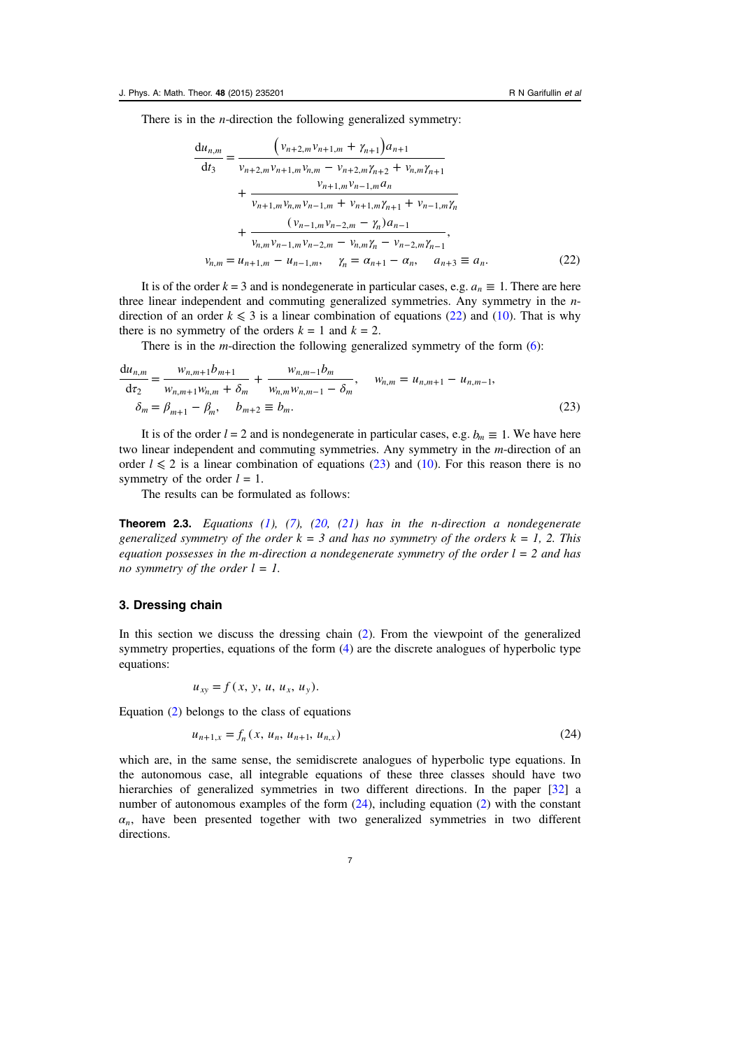<span id="page-6-0"></span>There is in the *n*-direction the following generalized symmetry:

$$
\frac{du_{n,m}}{dt_3} = \frac{\left(v_{n+2,m}v_{n+1,m} + \gamma_{n+1}\right)a_{n+1}}{v_{n+2,m}v_{n+1,m}v_{n,m} - v_{n+2,m}\gamma_{n+2} + v_{n,m}\gamma_{n+1}} + \frac{v_{n+1,m}v_{n-1,m}a_n}{v_{n+1,m}v_{n,m}v_{n-1,m} + v_{n+1,m}\gamma_{n+1} + v_{n-1,m}\gamma_n} + \frac{\left(v_{n-1,m}v_{n-2,m} - \gamma_n\right)a_{n-1}}{v_{n,m}v_{n-1,m}v_{n-2,m} - v_{n,m}\gamma_n - v_{n-2,m}\gamma_{n-1}},
$$
  

$$
v_{n,m} = u_{n+1,m} - u_{n-1,m}, \quad \gamma_n = \alpha_{n+1} - \alpha_n, \quad a_{n+3} \equiv a_n. \tag{22}
$$

It is of the order  $k = 3$  and is nondegenerate in particular cases, e.g.  $a_n \equiv 1$ . There are here three linear independent and commuting generalized symmetries. Any symmetry in the ndirection of an order  $k \leq 3$  is a linear combination of equations (22) and ([10\)](#page-3-0). That is why there is no symmetry of the orders  $k = 1$  and  $k = 2$ .

There is in the  $m$ -direction the following generalized symmetry of the form  $(6)$  $(6)$ :

$$
\frac{du_{n,m}}{dz_2} = \frac{w_{n,m+1}b_{m+1}}{w_{n,m+1}w_{n,m} + \delta_m} + \frac{w_{n,m-1}b_m}{w_{n,m}w_{n,m-1} - \delta_m}, \quad w_{n,m} = u_{n,m+1} - u_{n,m-1},
$$
  
\n
$$
\delta_m = \beta_{m+1} - \beta_m, \quad b_{m+2} \equiv b_m.
$$
\n(23)

It is of the order  $l = 2$  and is nondegenerate in particular cases, e.g.  $b_m \equiv 1$ . We have here two linear independent and commuting symmetries. Any symmetry in the *m*-direction of an order  $l \le 2$  is a linear combination of equations (23) and [\(10](#page-3-0)). For this reason there is no symmetry of the order  $l = 1$ .

The results can be formulated as follows:

**Theorem 2.3.** Equations  $(1)$  $(1)$ ,  $(7)$  $(7)$ ,  $(20, (21)$  $(20, (21)$  $(20, (21)$  $(20, (21)$  has in the n-direction a nondegenerate generalized symmetry of the order  $k = 3$  and has no symmetry of the orders  $k = 1, 2$ . This equation possesses in the m-direction a nondegenerate symmetry of the order  $l = 2$  and has no symmetry of the order  $l = 1$ .

# 3. Dressing chain

In this section we discuss the dressing chain ([2\)](#page-1-0). From the viewpoint of the generalized symmetry properties, equations of the form  $(4)$  $(4)$  are the discrete analogues of hyperbolic type equations:

$$
u_{xy}=f(x, y, u, u_x, u_y).
$$

Equation ([2\)](#page-1-0) belongs to the class of equations

$$
u_{n+1,x} = f_n(x, u_n, u_{n+1}, u_{n,x})
$$
\n(24)

which are, in the same sense, the semidiscrete analogues of hyperbolic type equations. In the autonomous case, all integrable equations of these three classes should have two hierarchies of generalized symmetries in two different directions. In the paper [\[32\]](#page-26-0) a number of autonomous examples of the form (24), including equation ([2\)](#page-1-0) with the constant  $a_n$ , have been presented together with two generalized symmetries in two different directions.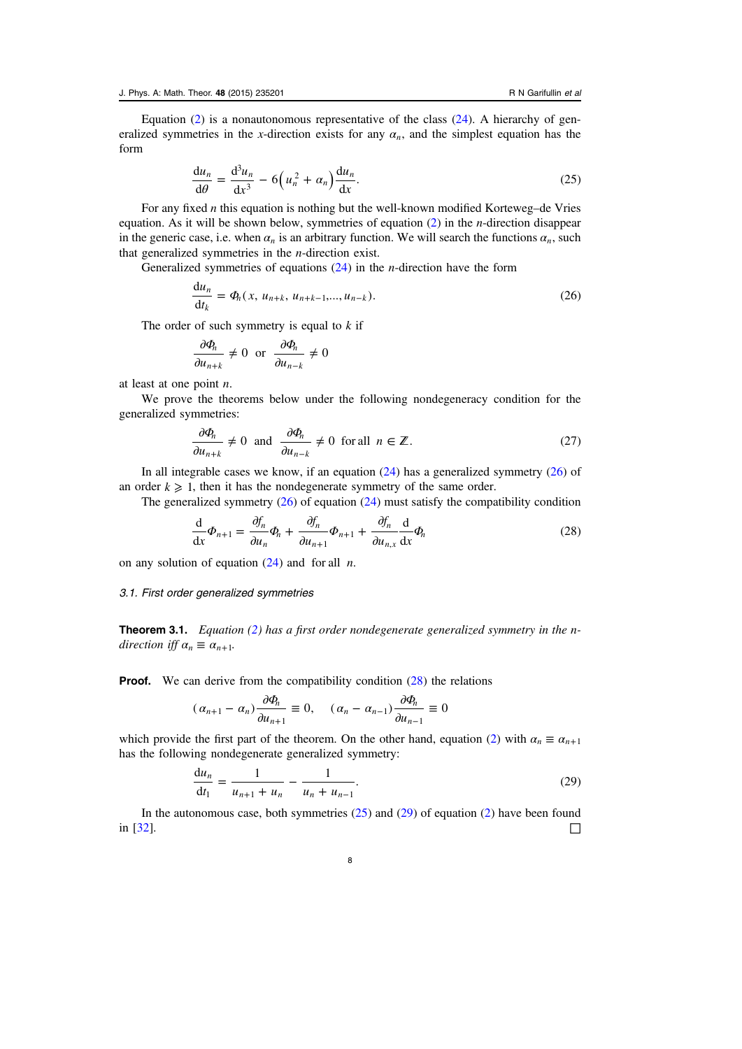<span id="page-7-0"></span>Equation  $(2)$  $(2)$  is a nonautonomous representative of the class  $(24)$  $(24)$ . A hierarchy of generalized symmetries in the x-direction exists for any  $\alpha_n$ , and the simplest equation has the form

$$
\frac{\mathrm{d}u_n}{\mathrm{d}\theta} = \frac{\mathrm{d}^3 u_n}{\mathrm{d}x^3} - 6\left(u_n^2 + \alpha_n\right)\frac{\mathrm{d}u_n}{\mathrm{d}x}.\tag{25}
$$

For any fixed  $n$  this equation is nothing but the well-known modified Korteweg–de Vries equation. As it will be shown below, symmetries of equation  $(2)$  $(2)$  in the *n*-direction disappear in the generic case, i.e. when  $\alpha_n$  is an arbitrary function. We will search the functions  $\alpha_n$ , such that generalized symmetries in the n-direction exist.

Generalized symmetries of equations  $(24)$  in the *n*-direction have the form

$$
\frac{du_n}{dt_k} = \Phi_n(x, u_{n+k}, u_{n+k-1}, \dots, u_{n-k}).
$$
\n(26)

The order of such symmetry is equal to  $k$  if

$$
\frac{\partial \Phi_n}{\partial u_{n+k}} \neq 0 \text{ or } \frac{\partial \Phi_n}{\partial u_{n-k}} \neq 0
$$

at least at one point  $n$ .

We prove the theorems below under the following nondegeneracy condition for the generalized symmetries:

$$
\frac{\partial \Phi_n}{\partial u_{n+k}} \neq 0 \text{ and } \frac{\partial \Phi_n}{\partial u_{n-k}} \neq 0 \text{ for all } n \in \mathbb{Z}.
$$
 (27)

In all integrable cases we know, if an equation  $(24)$  $(24)$  has a generalized symmetry  $(26)$  of an order  $k \geq 1$ , then it has the nondegenerate symmetry of the same order.

The generalized symmetry  $(26)$  of equation  $(24)$  $(24)$  must satisfy the compatibility condition

$$
\frac{\mathrm{d}}{\mathrm{d}x}\Phi_{n+1} = \frac{\partial f_n}{\partial u_n}\Phi_n + \frac{\partial f_n}{\partial u_{n+1}}\Phi_{n+1} + \frac{\partial f_n}{\partial u_{n,x}}\frac{\mathrm{d}}{\mathrm{d}x}\Phi_n \tag{28}
$$

on any solution of equation  $(24)$  $(24)$  and for all *n*.

### 3.1. First order generalized symmetries

**Theorem 3.1.** Equation ([2\)](#page-1-0) has a first order nondegenerate generalized symmetry in the ndirection iff  $\alpha_n \equiv \alpha_{n+1}$ .

**Proof.** We can derive from the compatibility condition  $(28)$  the relations

$$
(\alpha_{n+1} - \alpha_n) \frac{\partial \Phi_n}{\partial u_{n+1}} \equiv 0, \quad (\alpha_n - \alpha_{n-1}) \frac{\partial \Phi_n}{\partial u_{n-1}} \equiv 0
$$

which provide the first part of the theorem. On the other hand, equation ([2\)](#page-1-0) with  $\alpha_n \equiv \alpha_{n+1}$ has the following nondegenerate generalized symmetry:

$$
\frac{du_n}{dt_1} = \frac{1}{u_{n+1} + u_n} - \frac{1}{u_n + u_{n-1}}.\tag{29}
$$

In the autonomous case, both symmetries  $(25)$  and  $(29)$  of equation  $(2)$  $(2)$  have been found in [[32\]](#page-26-0).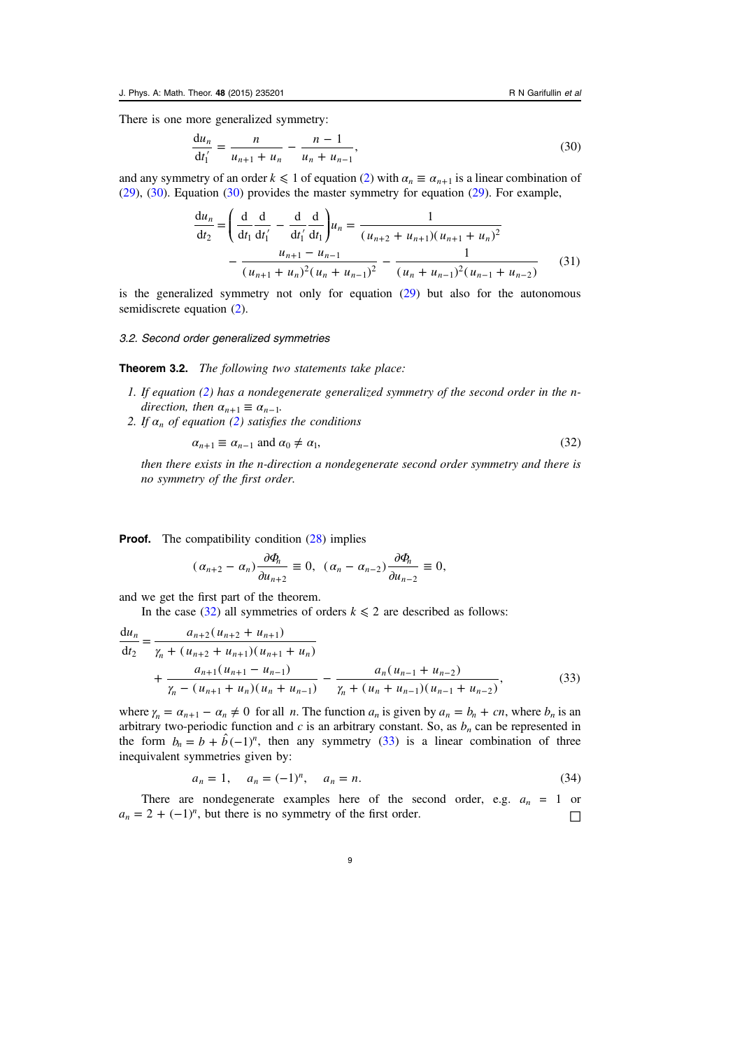<span id="page-8-0"></span>There is one more generalized symmetry:

$$
\frac{du_n}{dt'_1} = \frac{n}{u_{n+1} + u_n} - \frac{n-1}{u_n + u_{n-1}},
$$
\n(30)

and any symmetry of an order  $k \leq 1$  of equation ([2\)](#page-1-0) with  $\alpha_n \equiv \alpha_{n+1}$  is a linear combination of ([29\)](#page-7-0), (30). Equation (30) provides the master symmetry for equation [\(29](#page-7-0)). For example,

$$
\frac{du_n}{dt_2} = \left(\frac{d}{dt_1}\frac{d}{dt'_1} - \frac{d}{dt'_1}\frac{d}{dt_1}\right)u_n = \frac{1}{(u_{n+2} + u_{n+1})(u_{n+1} + u_n)^2} - \frac{u_{n+1} - u_{n-1}}{(u_{n+1} + u_n)^2(u_n + u_{n-1})^2} - \frac{1}{(u_n + u_{n-1})^2(u_{n-1} + u_{n-2})}
$$
(31)

is the generalized symmetry not only for equation ([29\)](#page-7-0) but also for the autonomous semidiscrete equation ([2\)](#page-1-0).

#### 3.2. Second order generalized symmetries

Theorem 3.2. The following two statements take place:

- 1. If equation [\(2](#page-1-0)) has a nondegenerate generalized symmetry of the second order in the ndirection, then  $\alpha_{n+1} \equiv \alpha_{n-1}$ .
- 2. If  $\alpha_n$  of equation [\(2](#page-1-0)) satisfies the conditions

$$
\alpha_{n+1} \equiv \alpha_{n-1} \text{ and } \alpha_0 \neq \alpha_1,\tag{32}
$$

then there exists in the n-direction a nondegenerate second order symmetry and there is no symmetry of the first order.

**Proof.** The compatibility condition ([28\)](#page-7-0) implies

$$
(\alpha_{n+2}-\alpha_n)\frac{\partial \Phi_n}{\partial u_{n+2}}\equiv 0, \ (\alpha_n-\alpha_{n-2})\frac{\partial \Phi_n}{\partial u_{n-2}}\equiv 0,
$$

and we get the first part of the theorem.

In the case (32) all symmetries of orders  $k \le 2$  are described as follows:

$$
\frac{du_n}{dt_2} = \frac{a_{n+2}(u_{n+2} + u_{n+1})}{\gamma_n + (u_{n+2} + u_{n+1})(u_{n+1} + u_n)} + \frac{a_{n+1}(u_{n+1} - u_{n-1})}{\gamma_n - (u_{n+1} + u_n)(u_n + u_{n-1})} - \frac{a_n(u_{n-1} + u_{n-2})}{\gamma_n + (u_n + u_{n-1})(u_{n-1} + u_{n-2})},
$$
\n(33)

where  $\gamma_n = \alpha_{n+1} - \alpha_n \neq 0$  for all *n*. The function  $a_n$  is given by  $a_n = b_n + cn$ , where  $b_n$  is an arbitrary two-periodic function and c is an arbitrary constant. So, as  $b_n$  can be represented in the form  $b_n = b + \hat{b}(-1)^n$ , then any symmetry (33) is a linear combination of three inequivalent symmetries given by:

$$
a_n = 1, \quad a_n = (-1)^n, \quad a_n = n. \tag{34}
$$

There are nondegenerate examples here of the second order, e.g.  $a_n = 1$  or  $a_n = 2 + (-1)^n$ , but there is no symmetry of the first order.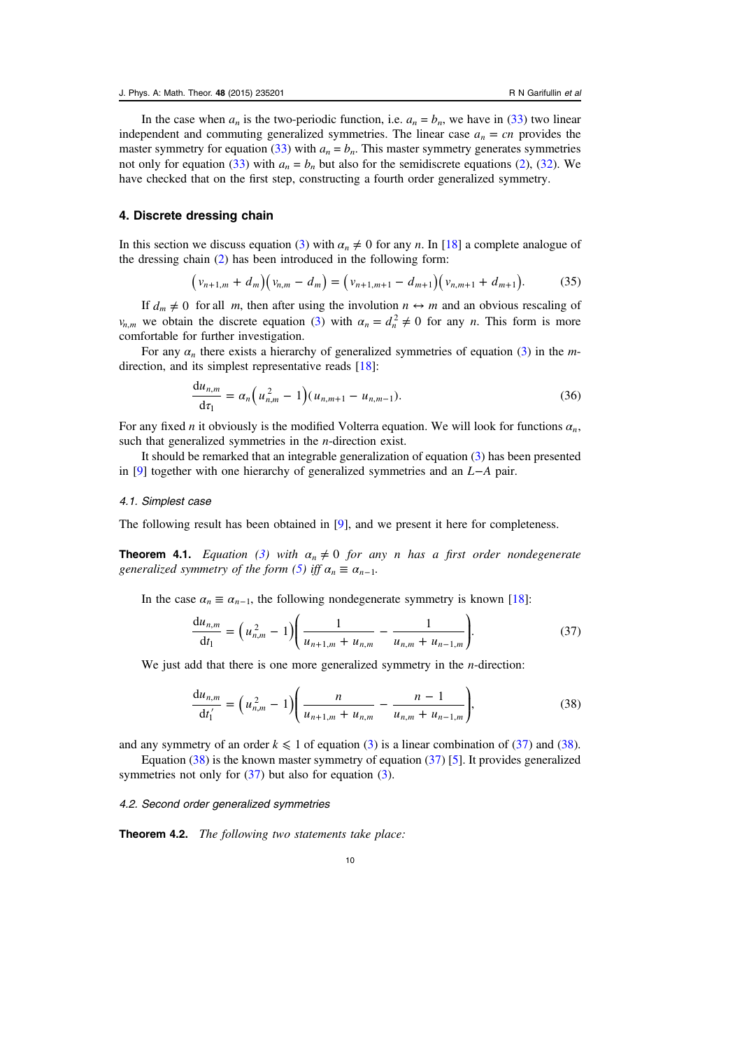<span id="page-9-0"></span>In the case when  $a_n$  is the two-periodic function, i.e.  $a_n = b_n$ , we have in [\(33](#page-8-0)) two linear independent and commuting generalized symmetries. The linear case  $a_n = cn$  provides the master symmetry for equation ([33](#page-8-0)) with  $a_n = b_n$ . This master symmetry generates symmetries not only for equation ([33\)](#page-8-0) with  $a_n = b_n$  but also for the semidiscrete equations ([2\)](#page-1-0), ([32\)](#page-8-0). We have checked that on the first step, constructing a fourth order generalized symmetry.

## 4. Discrete dressing chain

In this section we discuss equation [\(3](#page-1-0)) with  $\alpha_n \neq 0$  for any *n*. In [[18](#page-25-0)] a complete analogue of the dressing chain [\(2](#page-1-0)) has been introduced in the following form:

$$
\left(v_{n+1,m} + d_m\right)\left(v_{n,m} - d_m\right) = \left(v_{n+1,m+1} - d_{m+1}\right)\left(v_{n,m+1} + d_{m+1}\right). \tag{35}
$$

If  $d_m \neq 0$  for all *m*, then after using the involution  $n \leftrightarrow m$  and an obvious rescaling of *v<sub>n,m</sub>* we obtain the discrete equation ([3\)](#page-1-0) with  $\alpha_n = d_n^2 \neq 0$  for any *n*. This form is more comfortable for further investigation.

For any  $\alpha_n$  there exists a hierarchy of generalized symmetries of equation [\(3](#page-1-0)) in the m-direction, and its simplest representative reads [\[18](#page-25-0)]:

$$
\frac{du_{n,m}}{d\tau_1} = \alpha_n \Big( u_{n,m}^2 - 1 \Big) (u_{n,m+1} - u_{n,m-1}). \tag{36}
$$

For any fixed n it obviously is the modified Volterra equation. We will look for functions *αn*, such that generalized symmetries in the *n*-direction exist.

It should be remarked that an integrable generalization of equation [\(3](#page-1-0)) has been presented in [[9\]](#page-25-0) together with one hierarchy of generalized symmetries and an *L*−*A* pair.

#### 4.1. Simplest case

The following result has been obtained in [\[9](#page-25-0)], and we present it here for completeness.

**Theorem 4.1.** Equation [\(3\)](#page-1-0) with  $\alpha_n \neq 0$  for any *n* has a first order nondegenerate generalized symmetry of the form ([5\)](#page-1-0) iff  $\alpha_n \equiv \alpha_{n-1}$ .

In the case  $\alpha_n \equiv \alpha_{n-1}$ , the following nondegenerate symmetry is known [\[18](#page-25-0)]:

$$
\frac{du_{n,m}}{dt_1} = \left(u_{n,m}^2 - 1\right) \left(\frac{1}{u_{n+1,m} + u_{n,m}} - \frac{1}{u_{n,m} + u_{n-1,m}}\right).
$$
\n(37)

We just add that there is one more generalized symmetry in the *n*-direction:

$$
\frac{du_{n,m}}{dt_1'} = \left(u_{n,m}^2 - 1\right) \left(\frac{n}{u_{n+1,m} + u_{n,m}} - \frac{n-1}{u_{n,m} + u_{n-1,m}}\right),\tag{38}
$$

and any symmetry of an order  $k \leq 1$  of equation [\(3](#page-1-0)) is a linear combination of (37) and (38).

Equation  $(38)$  is the known master symmetry of equation  $(37)$  [[5\]](#page-25-0). It provides generalized symmetries not only for  $(37)$  $(37)$  but also for equation  $(3)$ .

# 4.2. Second order generalized symmetries

Theorem 4.2. The following two statements take place: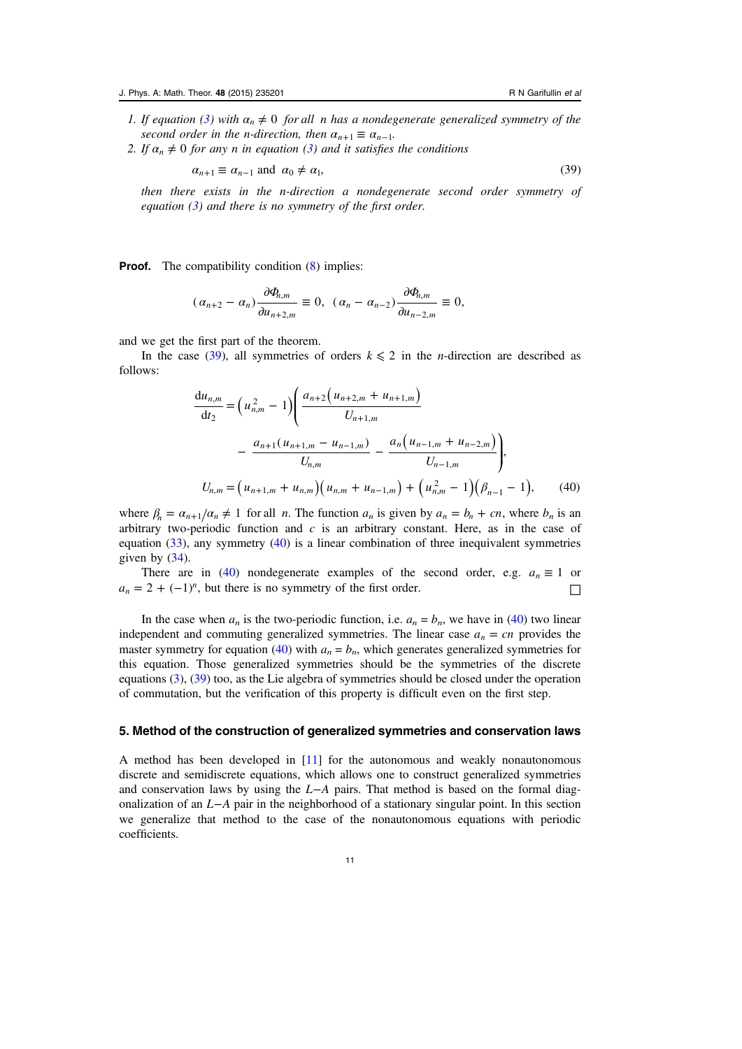- <span id="page-10-0"></span>1. If equation ([3\)](#page-1-0) with  $\alpha_n \neq 0$  for all n has a nondegenerate generalized symmetry of the second order in the *n*-direction, then  $\alpha_{n+1} \equiv \alpha_{n-1}$ .
- 2. If  $\alpha_n \neq 0$  for any *n* in equation [\(3](#page-1-0)) and it satisfies the conditions

 $\alpha_{n+1} \equiv \alpha_{n-1}$  and  $\alpha_0 \neq \alpha_1$ , (39)

then there exists in the n-direction a nondegenerate second order symmetry of equation  $(3)$  $(3)$  and there is no symmetry of the first order.

**Proof.** The compatibility condition ([8\)](#page-2-0) implies:

$$
(\alpha_{n+2}-\alpha_n)\frac{\partial \Phi_{n,m}}{\partial u_{n+2,m}}\equiv 0, \ (\alpha_n-\alpha_{n-2})\frac{\partial \Phi_{n,m}}{\partial u_{n-2,m}}\equiv 0,
$$

and we get the first part of the theorem.

In the case (39), all symmetries of orders  $k \le 2$  in the *n*-direction are described as follows:

$$
\frac{du_{n,m}}{dt_2} = \left(u_{n,m}^2 - 1\right) \left(\frac{a_{n+2}\left(u_{n+2,m} + u_{n+1,m}\right)}{U_{n+1,m}} - \frac{a_{n+1}\left(u_{n+1,m} - u_{n-1,m}\right)}{U_{n,m}} - \frac{a_n\left(u_{n-1,m} + u_{n-2,m}\right)}{U_{n-1,m}}\right),
$$
\n
$$
U_{n,m} = \left(u_{n+1,m} + u_{n,m}\right) \left(u_{n,m} + u_{n-1,m}\right) + \left(u_{n,m}^2 - 1\right) \left(\beta_{n-1} - 1\right), \tag{40}
$$

where  $\beta_n = \alpha_{n+1}/\alpha_n \neq 1$  for all *n*. The function  $a_n$  is given by  $a_n = b_n + cn$ , where  $b_n$  is an arbitrary two-periodic function and  $c$  is an arbitrary constant. Here, as in the case of equation [\(33](#page-8-0)), any symmetry (40) is a linear combination of three inequivalent symmetries given by  $(34)$  $(34)$ .

There are in (40) nondegenerate examples of the second order, e.g.  $a_n \equiv 1$  or  $a_n = 2 + (-1)^n$ , but there is no symmetry of the first order.

In the case when  $a_n$  is the two-periodic function, i.e.  $a_n = b_n$ , we have in (40) two linear independent and commuting generalized symmetries. The linear case  $a_n = cn$  provides the master symmetry for equation (40) with  $a_n = b_n$ , which generates generalized symmetries for this equation. Those generalized symmetries should be the symmetries of the discrete equations [\(3](#page-1-0)), (39) too, as the Lie algebra of symmetries should be closed under the operation of commutation, but the verification of this property is difficult even on the first step.

# 5. Method of the construction of generalized symmetries and conservation laws

A method has been developed in [\[11](#page-25-0)] for the autonomous and weakly nonautonomous discrete and semidiscrete equations, which allows one to construct generalized symmetries and conservation laws by using the *L*−*A* pairs. That method is based on the formal diagonalization of an *L*−*A* pair in the neighborhood of a stationary singular point. In this section we generalize that method to the case of the nonautonomous equations with periodic coefficients.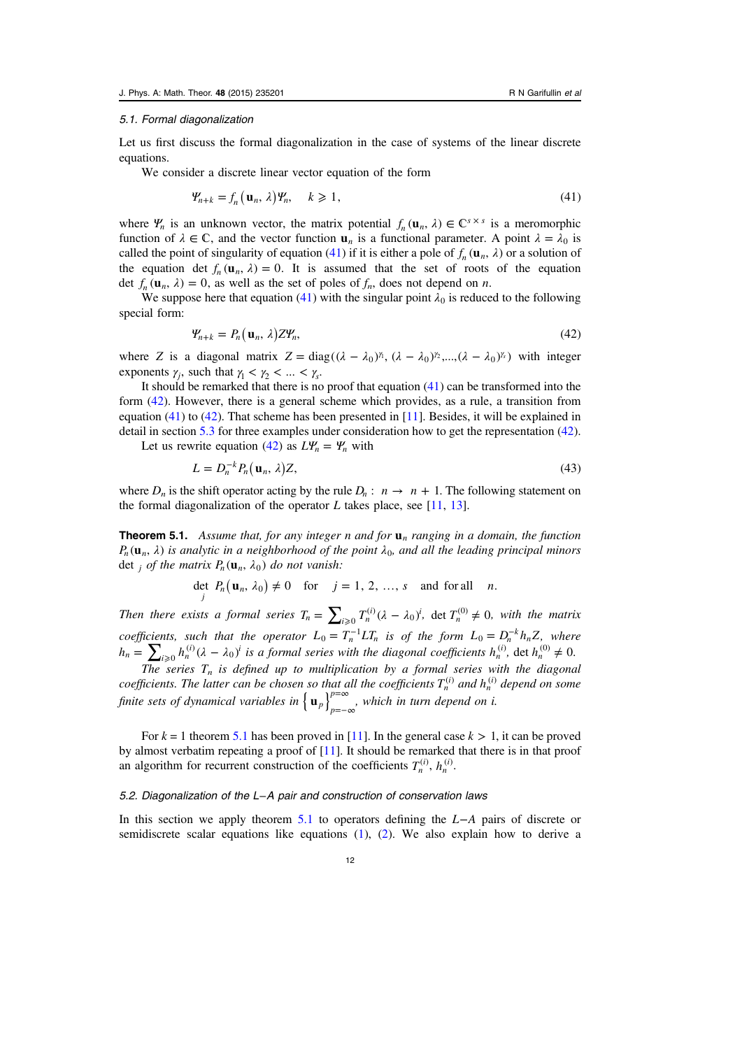## <span id="page-11-0"></span>5.1. Formal diagonalization

Let us first discuss the formal diagonalization in the case of systems of the linear discrete equations.

We consider a discrete linear vector equation of the form

$$
\mathbf{\Psi}_{n+k} = f_n(\mathbf{u}_n, \lambda) \mathbf{\Psi}_n, \quad k \geqslant 1,\tag{41}
$$

where  $\Psi_n$  is an unknown vector, the matrix potential  $f_n(\mathbf{u}_n, \lambda) \in \mathbb{C}^{s \times s}$  is a meromorphic function of  $\lambda \in \mathbb{C}$ , and the vector function  $\mathbf{u}_n$  is a functional parameter. A point  $\lambda = \lambda_0$  is called the point of singularity of equation (41) if it is either a pole of  $f_n(\mathbf{u}_n, \lambda)$  or a solution of the equation det  $f_n(\mathbf{u}_n, \lambda) = 0$ . It is assumed that the set of roots of the equation det  $f_n(\mathbf{u}_n, \lambda) = 0$ , as well as the set of poles of  $f_n$ , does not depend on *n*.

We suppose here that equation (41) with the singular point  $\lambda_0$  is reduced to the following special form:

$$
\Psi_{n+k} = P_n(\mathbf{u}_n, \lambda) Z \Psi_n, \tag{42}
$$

where Z is a diagonal matrix  $Z = diag((\lambda - \lambda_0)^{\gamma_1}, (\lambda - \lambda_0)^{\gamma_2}, ..., (\lambda - \lambda_0)^{\gamma_s})$  with integer exponents  $\gamma_j$ , such that  $\gamma_1 < \gamma_2 < ... < \gamma_s$ .

It should be remarked that there is no proof that equation (41) can be transformed into the form (42). However, there is a general scheme which provides, as a rule, a transition from equation (41) to (42). That scheme has been presented in [\[11](#page-25-0)]. Besides, it will be explained in detail in section [5.3](#page-13-0) for three examples under consideration how to get the representation (42).

Let us rewrite equation (42) as  $L\Psi_n = \Psi_n$  with

$$
L = D_n^{-k} P_n(\mathbf{u}_n, \lambda) Z,\tag{43}
$$

where  $D_n$  is the shift operator acting by the rule  $D_n$ :  $n \to n + 1$ . The following statement on the formal diagonalization of the operator L takes place, see  $[11, 13]$  $[11, 13]$  $[11, 13]$  $[11, 13]$  $[11, 13]$ .

**Theorem 5.1.** Assume that, for any integer n and for  $\mathbf{u}_n$  ranging in a domain, the function  $P_n(\mathbf{u}_n, \lambda)$  is analytic in a neighborhood of the point  $\lambda_0$ , and all the leading principal minors det *j* of the matrix  $P_n(\mathbf{u}_n, \lambda_0)$  do not vanish:

$$
\det_j P_n(\mathbf{u}_n, \lambda_0) \neq 0 \quad \text{for} \quad j = 1, 2, ..., s \quad \text{and for all} \quad n.
$$

Then there exists a formal series  $T_n = \sum_{i\geqslant 0} T_n^{(i)} (\lambda - \lambda_0)^i$  $_{0}T_{n}^{(i)}(\lambda - \lambda_{0})^{i}$ , det  $T_{n}^{(0)} \neq 0$ , with the matrix coefficients, such that the operator  $L_0 = T_n^{-1}LT_n$  is of the form  $L_0 = D_n^{-k}h_nZ$ , where  $h_n = \sum_{i \geq 0} h_n^{(i)} (\lambda - \lambda_0)^i$  $\int_0^{\infty} h_n^{(i)} (\lambda - \lambda_0)^i$  is a formal series with the diagonal coefficients  $h_n^{(i)}$ , det  $h_n^{(0)} \neq 0$ .

The series  $T_n$  is defined up to multiplication by a formal series with the diagonal coefficients. The latter can be chosen so that all the coefficients  $T_n^{(i)}$  and  $h_n^{(i)}$  depend on some finite sets of dynamical variables in  $\left\{\mathbf{u}_p\right\}_{p=-\infty}^{p=\infty}$  $p=\infty$ , which in turn depend on *i*.

For  $k = 1$  theorem 5.1 has been proved in [[11\]](#page-25-0). In the general case  $k > 1$ , it can be proved by almost verbatim repeating a proof of  $[11]$  $[11]$ . It should be remarked that there is in that proof an algorithm for recurrent construction of the coefficients  $T_n^{(i)}$ ,  $h_n^{(i)}$ .

#### 5.2. Diagonalization of the L−A pair and construction of conservation laws

In this section we apply theorem 5.1 to operators defining the *L*−*A* pairs of discrete or semidiscrete scalar equations like equations [\(1](#page-1-0)), ([2\)](#page-1-0). We also explain how to derive a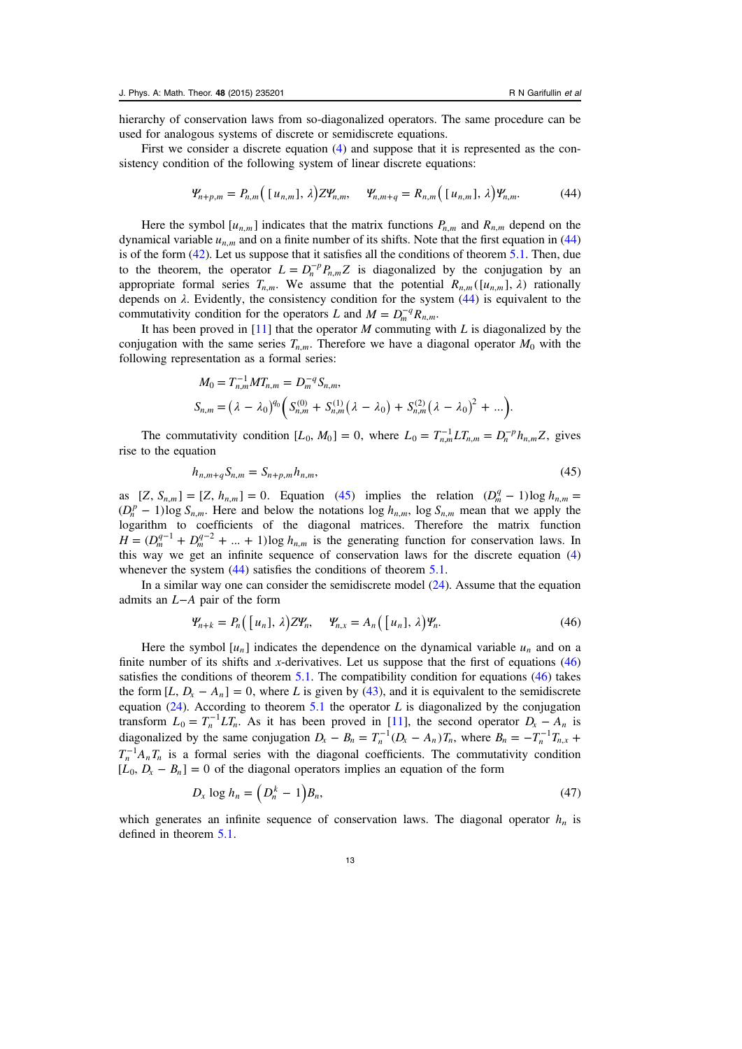hierarchy of conservation laws from so-diagonalized operators. The same procedure can be used for analogous systems of discrete or semidiscrete equations.

First we consider a discrete equation ([4\)](#page-1-0) and suppose that it is represented as the consistency condition of the following system of linear discrete equations:

$$
\mathcal{Y}_{n+p,m} = P_{n,m} ( [u_{n,m}], \lambda) Z \mathcal{Y}_{n,m}, \quad \mathcal{Y}_{n,m+q} = R_{n,m} ( [u_{n,m}], \lambda) \mathcal{Y}_{n,m}. \tag{44}
$$

Here the symbol  $[u_{n,m}]$  indicates that the matrix functions  $P_{n,m}$  and  $R_{n,m}$  depend on the dynamical variable  $u_{n,m}$  and on a finite number of its shifts. Note that the first equation in (44) is of the form ([42\)](#page-11-0). Let us suppose that it satisfies all the conditions of theorem [5.1.](#page-11-0) Then, due to the theorem, the operator  $L = D_n^{-p} P_{n,m} Z$  is diagonalized by the conjugation by an appropriate formal series  $T_{n,m}$ . We assume that the potential  $R_{n,m}([u_{n,m}], \lambda)$  rationally depends on  $\lambda$ . Evidently, the consistency condition for the system (44) is equivalent to the commutativity condition for the operators L and  $M = D_m^{-q} R_{n,m}$ .

It has been proved in  $[11]$  $[11]$  that the operator M commuting with L is diagonalized by the conjugation with the same series  $T_{n,m}$ . Therefore we have a diagonal operator  $M_0$  with the following representation as a formal series:

$$
M_0 = T_{n,m}^{-1} M T_{n,m} = D_m^{-q} S_{n,m},
$$
  
\n
$$
S_{n,m} = (\lambda - \lambda_0)^{q_0} \left( S_{n,m}^{(0)} + S_{n,m}^{(1)} (\lambda - \lambda_0) + S_{n,m}^{(2)} (\lambda - \lambda_0)^2 + \ldots \right).
$$

The commutativity condition  $[L_0, M_0] = 0$ , where  $L_0 = T_{n,m}^{-1} L T_{n,m} = D_n^{-p} h_{n,m} Z$ , gives rise to the equation

$$
h_{n,m+q}S_{n,m} = S_{n+p,m}h_{n,m},\tag{45}
$$

as  $[Z, S_{n,m}] = [Z, h_{n,m}] = 0$ . Equation (45) implies the relation  $(D_m^q - 1) \log h_{n,m} =$  $(D_n^p - 1) \log S_{n,m}$ . Here and below the notations  $\log h_{n,m}$ ,  $\log S_{n,m}$  mean that we apply the logarithm to coefficients of the diagonal matrices. Therefore the matrix function  $H = (D_m^{q-1} + D_m^{q-2} + ... + 1) \log h_{n,m}$  is the generating function for conservation laws. In this way we get an infinite sequence of conservation laws for the discrete equation [\(4](#page-1-0)) whenever the system (44) satisfies the conditions of theorem [5.1](#page-11-0).

In a similar way one can consider the semidiscrete model [\(24](#page-6-0)). Assume that the equation admits an *L*−*A* pair of the form

$$
\mathcal{Y}_{n+k} = P_n\left(\begin{bmatrix}u_n\end{bmatrix}, \lambda\right) Z \mathcal{Y}_n, \quad \mathcal{Y}_{n,x} = A_n\left(\begin{bmatrix}u_n\end{bmatrix}, \lambda\right) \mathcal{Y}_n. \tag{46}
$$

Here the symbol  $[u_n]$  indicates the dependence on the dynamical variable  $u_n$  and on a finite number of its shifts and x-derivatives. Let us suppose that the first of equations  $(46)$ satisfies the conditions of theorem  $5.1$ . The compatibility condition for equations (46) takes the form  $[L, D_x - A_n] = 0$ , where L is given by ([43\)](#page-11-0), and it is equivalent to the semidiscrete equation  $(24)$  $(24)$  $(24)$ . According to theorem [5.1](#page-11-0) the operator L is diagonalized by the conjugation transform  $L_0 = T_n^{-1} L T_n$ . As it has been proved in [\[11](#page-25-0)], the second operator  $D_x - A_n$  is diagonalized by the same conjugation  $D_x - B_n = T_n^{-1}(D_x - A_n)T_n$ , where  $B_n = -T_n^{-1}T_{n,x}$  +  $T_n^{-1}A_nT_n$  is a formal series with the diagonal coefficients. The commutativity condition  $[L_0, D_x - B_n] = 0$  of the diagonal operators implies an equation of the form

$$
D_x \log h_n = \left( D_n^k - 1 \right) B_n,\tag{47}
$$

which generates an infinite sequence of conservation laws. The diagonal operator  $h_n$  is defined in theorem [5.1](#page-11-0).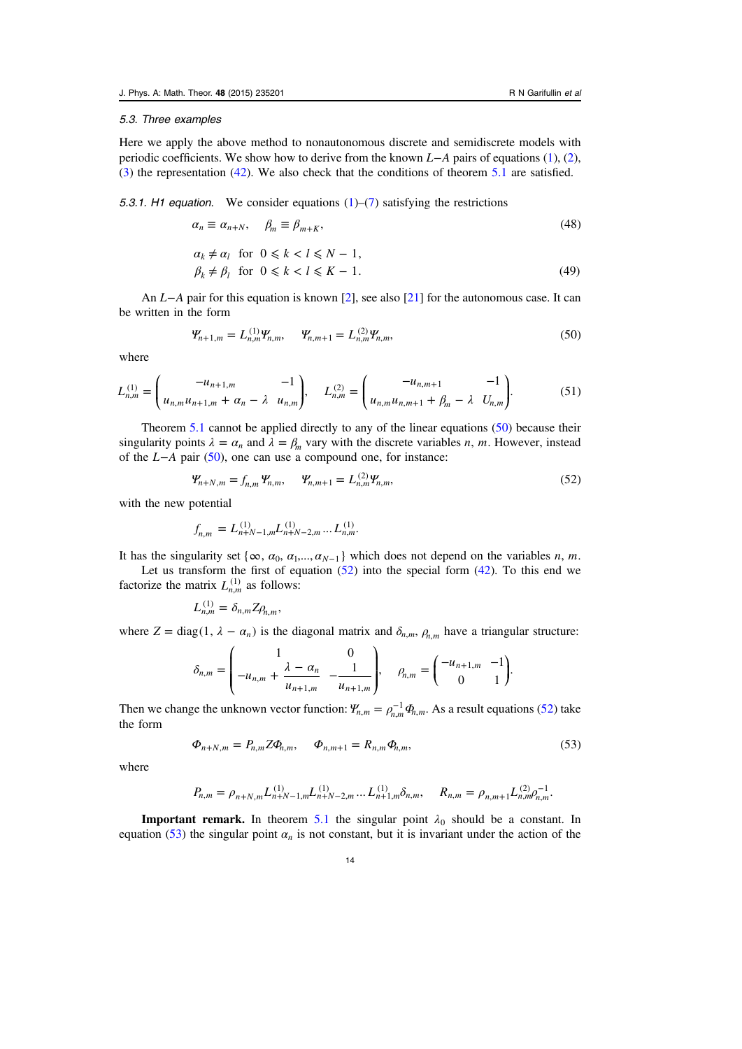#### <span id="page-13-0"></span>5.3. Three examples

Here we apply the above method to nonautonomous discrete and semidiscrete models with periodic coefficients. We show how to derive from the known *L*−*A* pairs of equations [\(1](#page-1-0)), ([2\)](#page-1-0), ([3\)](#page-1-0) the representation ([42\)](#page-11-0). We also check that the conditions of theorem [5.1](#page-11-0) are satisfied.

5.3.1. H1 equation. We consider equations  $(1)$  $(1)$ – $(7)$  $(7)$  satisfying the restrictions

$$
\alpha_n \equiv \alpha_{n+N}, \quad \beta_m \equiv \beta_{m+K}, \tag{48}
$$

$$
\alpha_k \neq \alpha_l \quad \text{for} \quad 0 \le k < l \le N - 1, \\
\beta_k \neq \beta_l \quad \text{for} \quad 0 \le k < l \le K - 1. \tag{49}
$$

An *L*−*A* pair for this equation is known [[2\]](#page-25-0), see also [[21\]](#page-26-0) for the autonomous case. It can be written in the form

$$
\Psi_{n+1,m} = L_{n,m}^{(1)} \Psi_{n,m}, \qquad \Psi_{n,m+1} = L_{n,m}^{(2)} \Psi_{n,m}, \tag{50}
$$

where

$$
L_{n,m}^{(1)} = \begin{pmatrix} -u_{n+1,m} & -1 \\ u_{n,m}u_{n+1,m} + \alpha_n - \lambda & u_{n,m} \end{pmatrix}, \quad L_{n,m}^{(2)} = \begin{pmatrix} -u_{n,m+1} & -1 \\ u_{n,m}u_{n,m+1} + \beta_m - \lambda & U_{n,m} \end{pmatrix}.
$$
 (51)

Theorem [5.1](#page-11-0) cannot be applied directly to any of the linear equations (50) because their singularity points  $\lambda = \alpha_n$  and  $\lambda = \beta_m$  vary with the discrete variables *n*, *m*. However, instead of the *L*−*A* pair (50), one can use a compound one, for instance:

$$
\Psi_{n+N,m} = f_{n,m} \Psi_{n,m}, \qquad \Psi_{n,m+1} = L_{n,m}^{(2)} \Psi_{n,m}, \tag{52}
$$

with the new potential

$$
f_{n,m} = L_{n+N-1,m}^{(1)} L_{n+N-2,m}^{(1)} \dots L_{n,m}^{(1)}.
$$

It has the singularity set { $\infty$ ,  $\alpha_0$ ,  $\alpha_1$ ,...,  $\alpha_{N-1}$ } which does not depend on the variables *n*, *m*.

Let us transform the first of equation  $(52)$  into the special form  $(42)$  $(42)$ . To this end we factorize the matrix  $L_{n,m}^{(1)}$  as follows:

$$
L_{n,m}^{(1)}=\delta_{n,m}Z\rho_{n,m},
$$

where  $Z = \text{diag}(1, \lambda - \alpha_n)$  is the diagonal matrix and  $\delta_{n,m}$ ,  $\rho_{n,m}$  have a triangular structure:

$$
\delta_{n,m} = \begin{pmatrix} 1 & 0 \\ -u_{n,m} + \frac{\lambda - \alpha_n}{u_{n+1,m}} & -\frac{1}{u_{n+1,m}} \end{pmatrix}, \quad \rho_{n,m} = \begin{pmatrix} -u_{n+1,m} & -1 \\ 0 & 1 \end{pmatrix}.
$$

Then we change the unknown vector function:  $\Psi_{n,m} = \rho_{n,m}^{-1} \Phi_{n,m}$ . As a result equations (52) take the form

$$
\Phi_{n+N,m} = P_{n,m} Z \Phi_{n,m}, \quad \Phi_{n,m+1} = R_{n,m} \Phi_{n,m}, \tag{53}
$$

where

$$
P_{n,m} = \rho_{n+N,m} L_{n+N-1,m}^{(1)} L_{n+N-2,m}^{(1)} \dots L_{n+1,m}^{(1)} \delta_{n,m}, \quad R_{n,m} = \rho_{n,m+1} L_{n,m}^{(2)} \rho_{n,m}^{-1}.
$$

**Important remark.** In theorem [5.1](#page-11-0) the singular point  $\lambda_0$  should be a constant. In equation (53) the singular point  $\alpha_n$  is not constant, but it is invariant under the action of the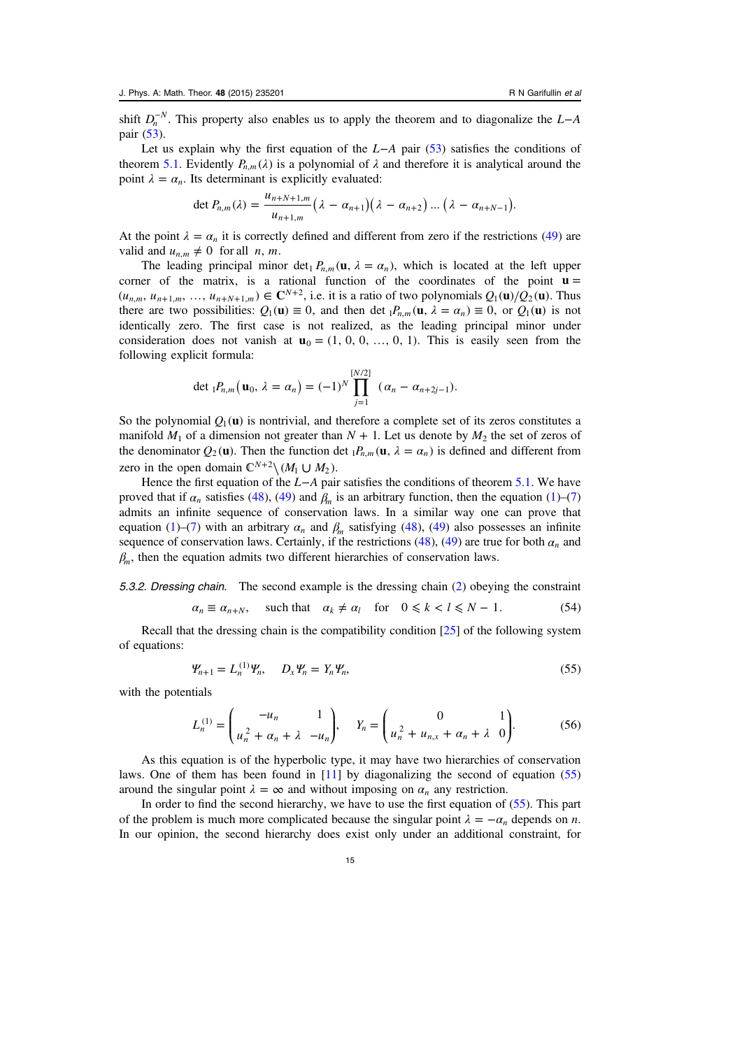<span id="page-14-0"></span>shift  $D_n^{-N}$ . This property also enables us to apply the theorem and to diagonalize the  $L-A$ pair [\(53](#page-13-0)).

Let us explain why the first equation of the *L*−*A* pair ([53\)](#page-13-0) satisfies the conditions of theorem [5.1.](#page-11-0) Evidently  $P_{n,m}(\lambda)$  is a polynomial of  $\lambda$  and therefore it is analytical around the point  $\lambda = \alpha_n$ . Its determinant is explicitly evaluated:

$$
\det P_{n,m}(\lambda)=\frac{u_{n+N+1,m}}{u_{n+1,m}}\big(\lambda-\alpha_{n+1}\big)\big(\lambda-\alpha_{n+2}\big)\dots\big(\lambda-\alpha_{n+N-1}\big).
$$

At the point  $\lambda = \alpha_n$  it is correctly defined and different from zero if the restrictions ([49\)](#page-13-0) are valid and  $u_{n,m} \neq 0$  for all *n*, *m*.

The leading principal minor det<sub>1</sub>  $P_{n,m}(\mathbf{u}, \lambda = \alpha_n)$ , which is located at the left upper corner of the matrix, is a rational function of the coordinates of the point  $\mathbf{u} =$  $(u_{n,m}, u_{n+1,m}, ..., u_{n+N+1,m}) \in \mathbb{C}^{N+2}$ , i.e. it is a ratio of two polynomials  $Q_1(\mathbf{u})/Q_2(\mathbf{u})$ . Thus there are two possibilities:  $Q_1(\mathbf{u}) \equiv 0$ , and then det  $_1P_{n,m}(\mathbf{u}, \lambda = \alpha_n) \equiv 0$ , or  $Q_1(\mathbf{u})$  is not identically zero. The first case is not realized, as the leading principal minor under consideration does not vanish at  $\mathbf{u}_0 = (1, 0, 0, \dots, 0, 1)$ . This is easily seen from the following explicit formula:

$$
\det {}_{1}P_{n,m}(\mathbf{u}_{0}, \lambda = \alpha_{n}) = (-1)^{N} \prod_{j=1}^{[N/2]} (\alpha_{n} - \alpha_{n+2j-1}).
$$

So the polynomial  $Q_1(\mathbf{u})$  is nontrivial, and therefore a complete set of its zeros constitutes a manifold  $M_1$  of a dimension not greater than  $N + 1$ . Let us denote by  $M_2$  the set of zeros of the denominator  $Q_2(\mathbf{u})$ . Then the function det  $_1P_{n,m}(\mathbf{u}, \lambda = \alpha_n)$  is defined and different from zero in the open domain  $\mathbb{C}^{N+2} \setminus (M_1 \cup M_2)$ .

Hence the first equation of the *L*−*A* pair satisfies the conditions of theorem [5.1](#page-11-0). We have proved that if  $\alpha_n$  satisfies [\(48](#page-13-0)), [\(49](#page-13-0)) and  $\beta_m$  is an arbitrary function, then the equation ([1\)](#page-1-0)–[\(7](#page-2-0)) admits an infinite sequence of conservation laws. In a similar way one can prove that equation ([1\)](#page-1-0)–([7\)](#page-2-0) with an arbitrary  $\alpha_n$  and  $\beta_m$  satisfying [\(48](#page-13-0)), ([49\)](#page-13-0) also possesses an infinite sequence of conservation laws. Certainly, if the restrictions ([48\)](#page-13-0), [\(49](#page-13-0)) are true for both  $\alpha_n$  and  $\beta_m$ , then the equation admits two different hierarchies of conservation laws.

5.3.2. Dressing chain. The second example is the dressing chain ([2\)](#page-1-0) obeying the constraint

$$
\alpha_n \equiv \alpha_{n+N}, \quad \text{such that} \quad \alpha_k \neq \alpha_l \quad \text{for} \quad 0 \le k < l \le N - 1. \tag{54}
$$

Recall that the dressing chain is the compatibility condition  $[25]$  $[25]$  of the following system of equations:

$$
\Psi_{n+1} = L_n^{(1)} \Psi_n, \quad D_x \Psi_n = Y_n \Psi_n,\tag{55}
$$

with the potentials

$$
L_n^{(1)} = \begin{pmatrix} -u_n & 1 \\ u_n^2 + \alpha_n + \lambda & -u_n \end{pmatrix}, \quad Y_n = \begin{pmatrix} 0 & 1 \\ u_n^2 + u_{n,x} + \alpha_n + \lambda & 0 \end{pmatrix}.
$$
 (56)

As this equation is of the hyperbolic type, it may have two hierarchies of conservation laws. One of them has been found in [[11\]](#page-25-0) by diagonalizing the second of equation (55) around the singular point  $\lambda = \infty$  and without imposing on  $\alpha_n$  any restriction.

In order to find the second hierarchy, we have to use the first equation of (55). This part of the problem is much more complicated because the singular point  $\lambda = -\alpha_n$  depends on *n*. In our opinion, the second hierarchy does exist only under an additional constraint, for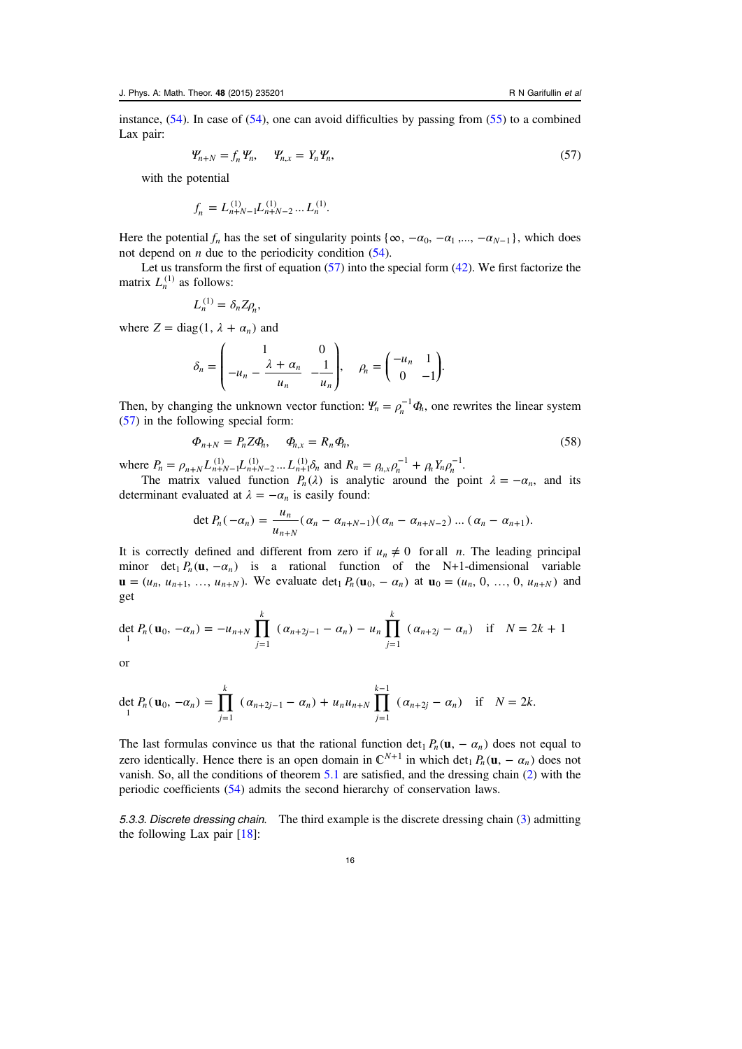<span id="page-15-0"></span>instance,  $(54)$  $(54)$  $(54)$ . In case of  $(54)$  $(54)$ , one can avoid difficulties by passing from  $(55)$  $(55)$  to a combined Lax pair:

$$
\mathbf{Y}_{n+N} = f_n \mathbf{Y}_n, \quad \mathbf{Y}_{n,x} = Y_n \mathbf{Y}_n,
$$
\n(57)

with the potential

$$
f_n = L_{n+N-1}^{(1)} L_{n+N-2}^{(1)} \dots L_n^{(1)}.
$$

Here the potential  $f_n$  has the set of singularity points { $\infty$ ,  $-\alpha_0$ ,  $-\alpha_1$ ,...,  $-\alpha_{N-1}$ }, which does not depend on  $n$  due to the periodicity condition  $(54)$ .

Let us transform the first of equation  $(57)$  into the special form  $(42)$  $(42)$ . We first factorize the matrix  $L_n^{(1)}$  as follows:

$$
L_n^{(1)} = \delta_n Z \rho_n,
$$

where  $Z = diag(1, \lambda + \alpha_n)$  and

$$
\delta_n = \begin{pmatrix} 1 & 0 \\ -u_n - \frac{\lambda + \alpha_n}{u_n} & -\frac{1}{u_n} \end{pmatrix}, \quad \rho_n = \begin{pmatrix} -u_n & 1 \\ 0 & -1 \end{pmatrix}.
$$

Then, by changing the unknown vector function:  $\Psi_n = \rho_n^{-1} \Phi_n$ , one rewrites the linear system (57) in the following special form:

$$
\Phi_{n+N} = P_n Z \Phi_n, \quad \Phi_{n,x} = R_n \Phi_n,\tag{58}
$$

where  $P_n = \rho_{n+N} L_{n+N-1}^{(1)} L_{n+N-2}^{(1)} ... L_{n+1}^{(1)} \delta_n$  and  $R_n = \rho_{n,x} \rho_n^{-1} + \rho_n Y_n \rho_n^{-1}$ .

The matrix valued function  $P_n(\lambda)$  is analytic around the point  $\lambda = -\alpha_n$ , and its determinant evaluated at  $\lambda = -\alpha_n$  is easily found:

$$
\det P_n(-\alpha_n) = \frac{u_n}{u_{n+N}} (\alpha_n - \alpha_{n+N-1})(\alpha_n - \alpha_{n+N-2}) \dots (\alpha_n - \alpha_{n+1}).
$$

It is correctly defined and different from zero if  $u_n \neq 0$  for all *n*. The leading principal minor det<sub>1</sub>  $P_n(\mathbf{u}, -\alpha_n)$  is a rational function of the N+1-dimensional variable  $\mathbf{u} = (u_n, u_{n+1}, ..., u_{n+N})$ . We evaluate det<sub>1</sub>  $P_n(\mathbf{u}_0, -\alpha_n)$  at  $\mathbf{u}_0 = (u_n, 0, ..., 0, u_{n+N})$  and get

$$
\det_{1} P_{n}(\mathbf{u}_{0}, -\alpha_{n}) = -u_{n+N} \prod_{j=1}^{k} (\alpha_{n+2j-1} - \alpha_{n}) - u_{n} \prod_{j=1}^{k} (\alpha_{n+2j} - \alpha_{n}) \text{ if } N = 2k+1
$$

or

$$
\det_{1} P_{n}(\mathbf{u}_{0}, -\alpha_{n}) = \prod_{j=1}^{k} (\alpha_{n+2j-1} - \alpha_{n}) + u_{n} u_{n+N} \prod_{j=1}^{k-1} (\alpha_{n+2j} - \alpha_{n}) \text{ if } N = 2k.
$$

The last formulas convince us that the rational function det<sub>1</sub>  $P_n(\mathbf{u}, -\alpha_n)$  does not equal to zero identically. Hence there is an open domain in  $\mathbb{C}^{N+1}$  in which det<sub>1</sub>  $P_n(\mathbf{u}, -\alpha_n)$  does not vanish. So, all the conditions of theorem [5.1](#page-11-0) are satisfied, and the dressing chain ([2\)](#page-1-0) with the periodic coefficients [\(54](#page-14-0)) admits the second hierarchy of conservation laws.

5.3.3. Discrete dressing chain. The third example is the discrete dressing chain ([3\)](#page-1-0) admitting the following Lax pair [\[18](#page-25-0)]: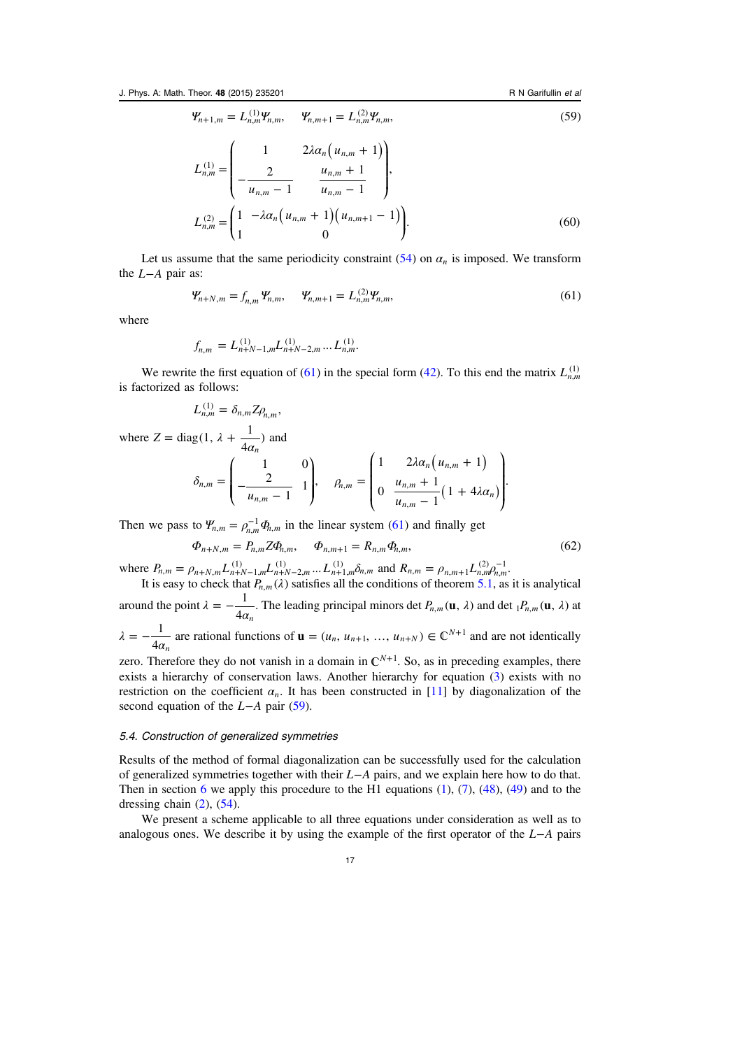<span id="page-16-0"></span>
$$
\Psi_{n+1,m} = L_{n,m}^{(1)} \Psi_{n,m}, \quad \Psi_{n,m+1} = L_{n,m}^{(2)} \Psi_{n,m}, \tag{59}
$$

$$
L_{n,m}^{(1)} = \begin{pmatrix} 1 & 2\lambda \alpha_n \left( u_{n,m} + 1 \right) \\ -\frac{2}{u_{n,m} - 1} & \frac{u_{n,m} + 1}{u_{n,m} - 1} \end{pmatrix},
$$
  

$$
L_{n,m}^{(2)} = \begin{pmatrix} 1 & -\lambda \alpha_n \left( u_{n,m} + 1 \right) \left( u_{n,m+1} - 1 \right) \\ 1 & 0 \end{pmatrix}.
$$
 (60)

Let us assume that the same periodicity constraint  $(54)$  $(54)$  on  $\alpha_n$  is imposed. We transform the *L*−*A* pair as:

$$
\Psi_{n+N,m} = f_{n,m} \Psi_{n,m}, \qquad \Psi_{n,m+1} = L_{n,m}^{(2)} \Psi_{n,m}, \tag{61}
$$

where

$$
f_{n,m} = L_{n+N-1,m}^{(1)} L_{n+N-2,m}^{(1)} \dots L_{n,m}^{(1)}.
$$

We rewrite the first equation of (61) in the special form [\(42](#page-11-0)). To this end the matrix  $L_{n,m}^{(1)}$ is factorized as follows:

$$
L_{n,m}^{(1)}=\delta_{n,m}Z\rho_{n,m},
$$

where  $Z = \text{diag}(1, \lambda + \frac{1}{4\alpha_n})$ and

$$
\delta_{n,m} = \begin{pmatrix} 1 & 0 \\ -\frac{2}{u_{n,m} - 1} & 1 \end{pmatrix}, \quad \beta_{n,m} = \begin{pmatrix} 1 & 2\lambda \alpha_n \left( u_{n,m} + 1 \right) \\ 0 & \frac{u_{n,m} + 1}{u_{n,m} - 1} (1 + 4\lambda \alpha_n) \end{pmatrix}.
$$

Then we pass to  $\Psi_{n,m} = \rho_{n,m}^{-1} \Phi_{n,m}$  in the linear system (61) and finally get

$$
\Phi_{n+N,m} = P_{n,m} Z \Phi_{n,m}, \qquad \Phi_{n,m+1} = R_{n,m} \Phi_{n,m}, \tag{62}
$$

where  $P_{n,m} = \rho_{n+N,m} L_{n+N-1,m}^{(1)} L_{n+N-2,m}^{(1)} ... L_{n+1,m}^{(1)} \delta_{n,m}$  and  $R_{n,m} = \rho_{n,m+1} L_{n,m}^{(2)} \rho_{n,m}^{-1}$ It is easy to check that  $P_{n,m}(\lambda)$  satisfies all the conditions of theorem [5.1,](#page-11-0) as it is analytical

around the point  $\lambda = -\frac{1}{4\alpha_n}$ . The leading principal minors det  $P_{n,m}(\mathbf{u}, \lambda)$  and det  $_1P_{n,m}(\mathbf{u}, \lambda)$  at

$$
\lambda = -\frac{1}{4\alpha_n}
$$
 are rational functions of **u** =  $(u_n, u_{n+1}, ..., u_{n+N}) \in \mathbb{C}^{N+1}$  and are not identically

zero. Therefore they do not vanish in a domain in  $\mathbb{C}^{N+1}$ . So, as in preceding examples, there exists a hierarchy of conservation laws. Another hierarchy for equation [\(3](#page-1-0)) exists with no restriction on the coefficient  $\alpha_n$ . It has been constructed in [[11\]](#page-25-0) by diagonalization of the second equation of the *L*−*A* pair [\(59\)](#page-15-0).

### 5.4. Construction of generalized symmetries

Results of the method of formal diagonalization can be successfully used for the calculation of generalized symmetries together with their *L*−*A* pairs, and we explain here how to do that. Then in section [6](#page-19-0) we apply this procedure to the H1 equations  $(1)$  $(1)$ ,  $(7)$  $(7)$ ,  $(48)$  $(48)$ ,  $(49)$  $(49)$  and to the dressing chain  $(2)$  $(2)$ ,  $(54)$  $(54)$ .

We present a scheme applicable to all three equations under consideration as well as to analogous ones. We describe it by using the example of the first operator of the *L*−*A* pairs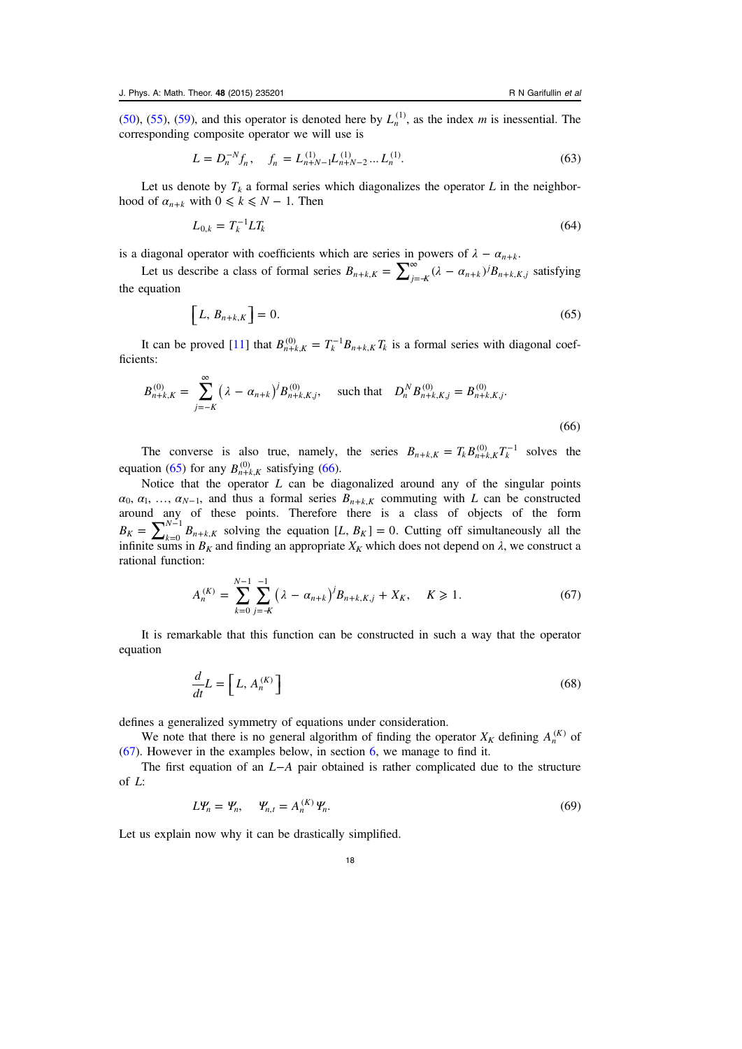<span id="page-17-0"></span>([50\)](#page-13-0), ([55\)](#page-14-0), [\(59\)](#page-15-0), and this operator is denoted here by  $L_n^{(1)}$ , as the index m is inessential. The corresponding composite operator we will use is

$$
L = D_n^{-N} f_n, \quad f_n = L_{n+N-1}^{(1)} L_{n+N-2}^{(1)} \dots L_n^{(1)}.
$$
\n(63)

Let us denote by  $T_k$  a formal series which diagonalizes the operator L in the neighborhood of  $\alpha_{n+k}$  with  $0 \leq k \leq N-1$ . Then

$$
L_{0,k} = T_k^{-1} L T_k \tag{64}
$$

is a diagonal operator with coefficients which are series in powers of  $\lambda - \alpha_{n+k}$ .

Let us describe a class of formal series  $B_{n+k,K} = \sum_{j=-K}^{\infty} (\lambda - \alpha_{n+k})^j B_{n+k,K,j}$  satisfying the equation

$$
\left[L, B_{n+k,K}\right] = 0.\tag{65}
$$

It can be proved [[11\]](#page-25-0) that  $B_{n+k,K}^{(0)} = T_k^{-1} B_{n+k,K} T_k$  is a formal series with diagonal coefficients:

$$
B_{n+k,K}^{(0)} = \sum_{j=-K}^{\infty} \left( \lambda - \alpha_{n+k} \right)^j B_{n+k,K,j}^{(0)}, \quad \text{such that} \quad D_n^N B_{n+k,K,j}^{(0)} = B_{n+k,K,j}^{(0)}.
$$
\n
$$
(66)
$$

The converse is also true, namely, the series  $B_{n+k,K} = T_k B_{n+k,K}^{(0)} T_k^{-1}$  solves the equation (65) for any  $B_{n+k,K}^{(0)}$  satisfying (66).

Notice that the operator  $L$  can be diagonalized around any of the singular points  $\alpha_0, \alpha_1, \ldots, \alpha_{N-1}$ , and thus a formal series  $B_{n+k,K}$  commuting with L can be constructed around any of these points. Therefore there is a class of objects of the form  $B_K = \sum_{k=0}^{N-1} B_{n+k}$  $\sum_{n=k}^{n} K_n$  $\int_{0}^{1} B_{n+k,K}$  solving the equation [L,  $B_K$ ] = 0. Cutting off simultaneously all the infinite sums in  $B_K$  and finding an appropriate  $X_K$  which does not depend on  $\lambda$ , we construct a rational function:

$$
A_n^{(K)} = \sum_{k=0}^{N-1} \sum_{j=K}^{-1} \left( \lambda - \alpha_{n+k} \right)^j B_{n+k,K,j} + X_K, \quad K \geq 1. \tag{67}
$$

It is remarkable that this function can be constructed in such a way that the operator equation

$$
\frac{d}{dt}L = \left[L, A_n^{(K)}\right] \tag{68}
$$

defines a generalized symmetry of equations under consideration.

We note that there is no general algorithm of finding the operator  $X_K$  defining  $A_n^{(K)}$  of (67). However in the examples below, in section [6,](#page-19-0) we manage to find it.

The first equation of an *L*−*A* pair obtained is rather complicated due to the structure of L:

$$
L\Psi_n = \Psi_n, \quad \Psi_{n,t} = A_n^{(K)} \Psi_n.
$$
\n(69)

Let us explain now why it can be drastically simplified.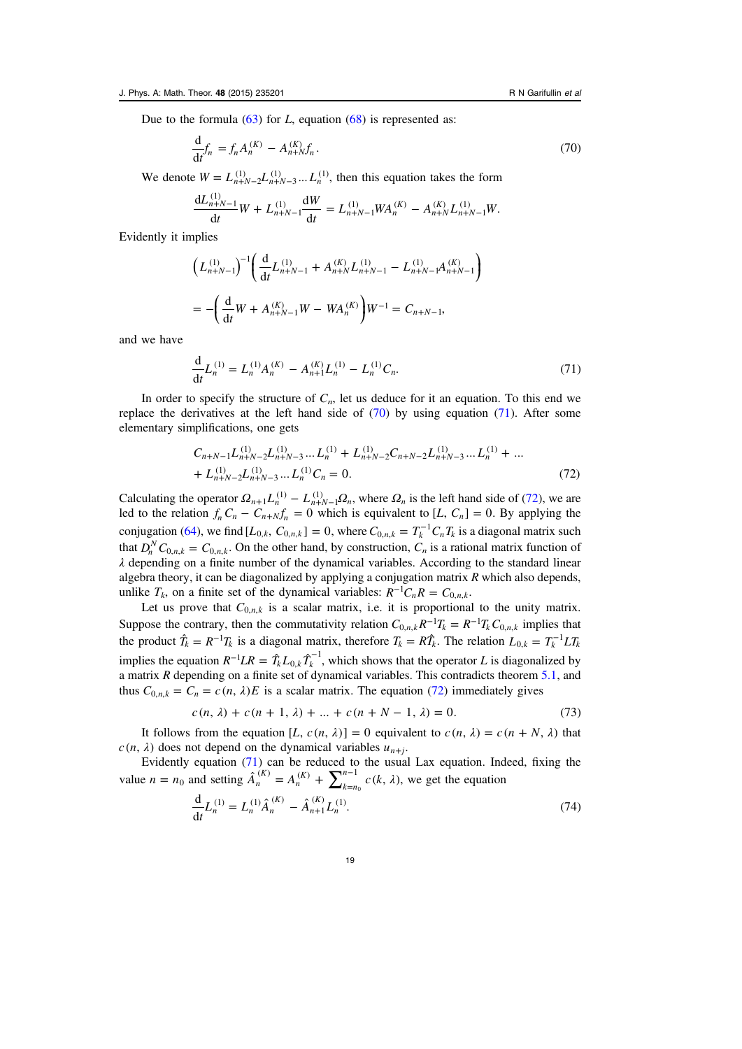<span id="page-18-0"></span>Due to the formula  $(63)$  $(63)$  for L, equation  $(68)$  $(68)$  $(68)$  is represented as:

$$
\frac{\mathrm{d}}{\mathrm{d}t}f_n = f_n A_n^{(K)} - A_{n+N}^{(K)} f_n. \tag{70}
$$

We denote  $W = L_{n+N-2}^{(1)} L_{n+N-3}^{(1)} \dots L_n^{(1)}$ , then this equation takes the form

$$
\frac{dL_{n+N-1}^{(1)}}{dt}W + L_{n+N-1}^{(1)}\frac{dW}{dt} = L_{n+N-1}^{(1)}WA_n^{(K)} - A_{n+N}^{(K)}L_{n+N-1}^{(1)}W.
$$

Evidently it implies

$$
\left(L_{n+N-1}^{(1)}\right)^{-1} \left(\frac{d}{dt}L_{n+N-1}^{(1)} + A_{n+N}^{(K)}L_{n+N-1}^{(1)} - L_{n+N-1}^{(1)}A_{n+N-1}^{(K)}\right)
$$
  
= 
$$
-\left(\frac{d}{dt}W + A_{n+N-1}^{(K)}W - WA_{n}^{(K)}\right)W^{-1} = C_{n+N-1},
$$

and we have

$$
\frac{\mathrm{d}}{\mathrm{d}t}L_n^{(1)} = L_n^{(1)}A_n^{(K)} - A_{n+1}^{(K)}L_n^{(1)} - L_n^{(1)}C_n.
$$
\n(71)

In order to specify the structure of  $C_n$ , let us deduce for it an equation. To this end we replace the derivatives at the left hand side of  $(70)$  by using equation  $(71)$ . After some elementary simplifications, one gets

$$
C_{n+N-1}L_{n+N-2}^{(1)}L_{n+N-3}^{(1)}...L_{n}^{(1)} + L_{n+N-2}^{(1)}C_{n+N-2}L_{n+N-3}^{(1)}...L_{n}^{(1)} + ... + L_{n+N-2}^{(1)}L_{n+N-3}^{(1)}...L_{n}^{(1)}C_{n} = 0.
$$
\n(72)

Calculating the operator  $\Omega_{n+1}L_n^{(1)} - L_{n+N-1}^{(1)}\Omega_n$ , where  $\Omega_n$  is the left hand side of (72), we are led to the relation  $f_n C_n - C_{n+N} f_n = 0$  which is equivalent to  $[L, C_n] = 0$ . By applying the conjugation ([64\)](#page-17-0), we find  $[L_{0,k}, C_{0,n,k}] = 0$ , where  $C_{0,n,k} = T_k^{-1} C_n T_k$  is a diagonal matrix such that  $D_n^N C_{0,n,k} = C_{0,n,k}$ . On the other hand, by construction,  $C_n$  is a rational matrix function of  $\lambda$  depending on a finite number of the dynamical variables. According to the standard linear algebra theory, it can be diagonalized by applying a conjugation matrix  $R$  which also depends, unlike  $T_k$ , on a finite set of the dynamical variables:  $R^{-1}C_nR = C_{0,n,k}$ .

Let us prove that  $C_{0,n,k}$  is a scalar matrix, i.e. it is proportional to the unity matrix. Suppose the contrary, then the commutativity relation  $C_{0,n,k}R^{-1}T_k = R^{-1}T_kC_{0,n,k}$  implies that the product  $\hat{T}_k = R^{-1}T_k$  is a diagonal matrix, therefore  $T_k = R\hat{T}_k$ . The relation  $L_{0,k} = T_k^{-1}LT_k$ implies the equation  $R^{-1}LR = \hat{T}_k L_{0,k} \hat{T}_k^{-1}$ , which shows that the operator L is diagonalized by a matrix  $R$  depending on a finite set of dynamical variables. This contradicts theorem  $5.1$ , and thus  $C_{0,n,k} = C_n = c(n, \lambda)E$  is a scalar matrix. The equation (72) immediately gives

$$
c(n, \lambda) + c(n + 1, \lambda) + \dots + c(n + N - 1, \lambda) = 0.
$$
 (73)

It follows from the equation  $[L, c(n, \lambda)] = 0$  equivalent to  $c(n, \lambda) = c(n + N, \lambda)$  that  $c(n, \lambda)$  does not depend on the dynamical variables  $u_{n+i}$ .

Evidently equation (71) can be reduced to the usual Lax equation. Indeed, fixing the value  $n = n_0$  and setting  $\hat{A}_n^{(K)} = A_n^{(K)} + \sum_{k=n_0}^{n-1} c(k, \lambda)$ *n K k n*  $(K)$  –  $\Lambda$ <sup>(K)</sup> –  $\sum^{n-1}$  $\int_0^{\infty} c(k, \lambda)$ , we get the equation

$$
\frac{d}{dt}L_n^{(1)} = L_n^{(1)}\hat{A}_n^{(K)} - \hat{A}_{n+1}^{(K)}L_n^{(1)}.
$$
\n(74)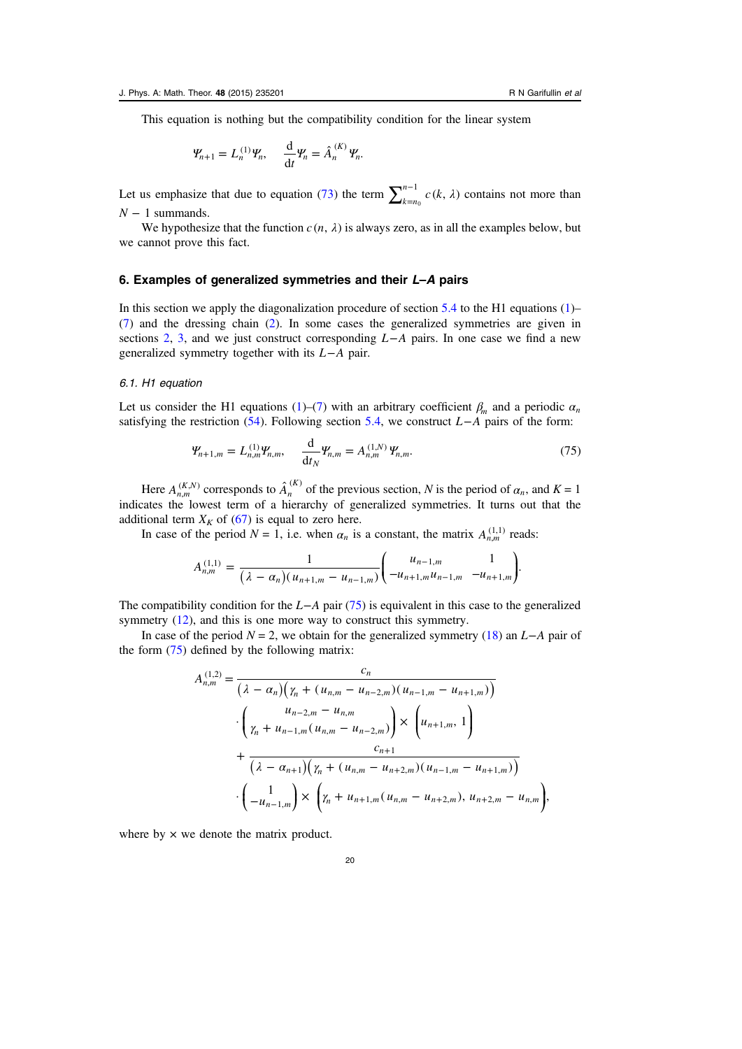<span id="page-19-0"></span>This equation is nothing but the compatibility condition for the linear system

$$
\Psi_{n+1} = L_n^{(1)} \Psi_n, \quad \frac{d}{dt} \Psi_n = \hat{A}_n^{(K)} \Psi_n.
$$

Let us emphasize that due to equation ([73\)](#page-18-0) the term  $\sum_{k=n_0}^{n-1} c(k, \lambda)$  $\int_0^{\infty} c(k, \lambda)$  contains not more than *N* − 1 summands.

We hypothesize that the function  $c(n, \lambda)$  is always zero, as in all the examples below, but we cannot prove this fact.

# 6. Examples of generalized symmetries and their L–A pairs

In this section we apply the diagonalization procedure of section  $5.4$  to the H1 equations [\(1](#page-1-0))– ([7\)](#page-2-0) and the dressing chain [\(2](#page-1-0)). In some cases the generalized symmetries are given in sections [2](#page-2-0), [3,](#page-6-0) and we just construct corresponding *L*−*A* pairs. In one case we find a new generalized symmetry together with its *L*−*A* pair.

#### 6.1. H1 equation

Let us consider the H1 equations ([1\)](#page-1-0)–[\(7](#page-2-0)) with an arbitrary coefficient  $\beta_m$  and a periodic  $\alpha_n$ satisfying the restriction ([54\)](#page-14-0). Following section [5.4,](#page-16-0) we construct *L*−*A* pairs of the form:

$$
\mathbf{Y}_{n+1,m} = L_{n,m}^{(1)} \mathbf{Y}_{n,m}, \quad \frac{\mathrm{d}}{\mathrm{d}t_N} \mathbf{Y}_{n,m} = A_{n,m}^{(1,N)} \mathbf{Y}_{n,m}.
$$
 (75)

Here  $A_{n,m}^{(K,N)}$  corresponds to  $\hat{A}_n^{(K)}$  of the previous section, N is the period of  $\alpha_n$ , and  $K = 1$ indicates the lowest term of a hierarchy of generalized symmetries. It turns out that the additional term  $X_K$  of ([67\)](#page-17-0) is equal to zero here.

In case of the period  $N = 1$ , i.e. when  $\alpha_n$  is a constant, the matrix  $A_{n,m}^{(1,1)}$  reads:

$$
A_{n,m}^{(1,1)} = \frac{1}{(\lambda - \alpha_n)(u_{n+1,m} - u_{n-1,m})} \begin{pmatrix} u_{n-1,m} & 1 \\ -u_{n+1,m}u_{n-1,m} & -u_{n+1,m} \end{pmatrix}.
$$

The compatibility condition for the *L*−*A* pair (75) is equivalent in this case to the generalized symmetry ([12\)](#page-3-0), and this is one more way to construct this symmetry.

In case of the period  $N = 2$ , we obtain for the generalized symmetry [\(18](#page-4-0)) an *L*−*A* pair of the form (75) defined by the following matrix:

$$
A_{n,m}^{(1,2)} = \frac{c_n}{\left(\lambda - \alpha_n\right)\left(\gamma_n + (u_{n,m} - u_{n-2,m})(u_{n-1,m} - u_{n+1,m})\right)}
$$

$$
\cdot \left(\frac{u_{n-2,m} - u_{n,m}}{\gamma_n + u_{n-1,m}(u_{n,m} - u_{n-2,m})}\right) \times \left(u_{n+1,m}, 1\right)
$$

$$
+ \frac{c_{n+1}}{\left(\lambda - \alpha_{n+1}\right)\left(\gamma_n + (u_{n,m} - u_{n+2,m})(u_{n-1,m} - u_{n+1,m})\right)}
$$

$$
\cdot \left(\frac{1}{-u_{n-1,m}}\right) \times \left(\gamma_n + u_{n+1,m}(u_{n,m} - u_{n+2,m}), u_{n+2,m} - u_{n,m}\right),
$$

where by  $\times$  we denote the matrix product.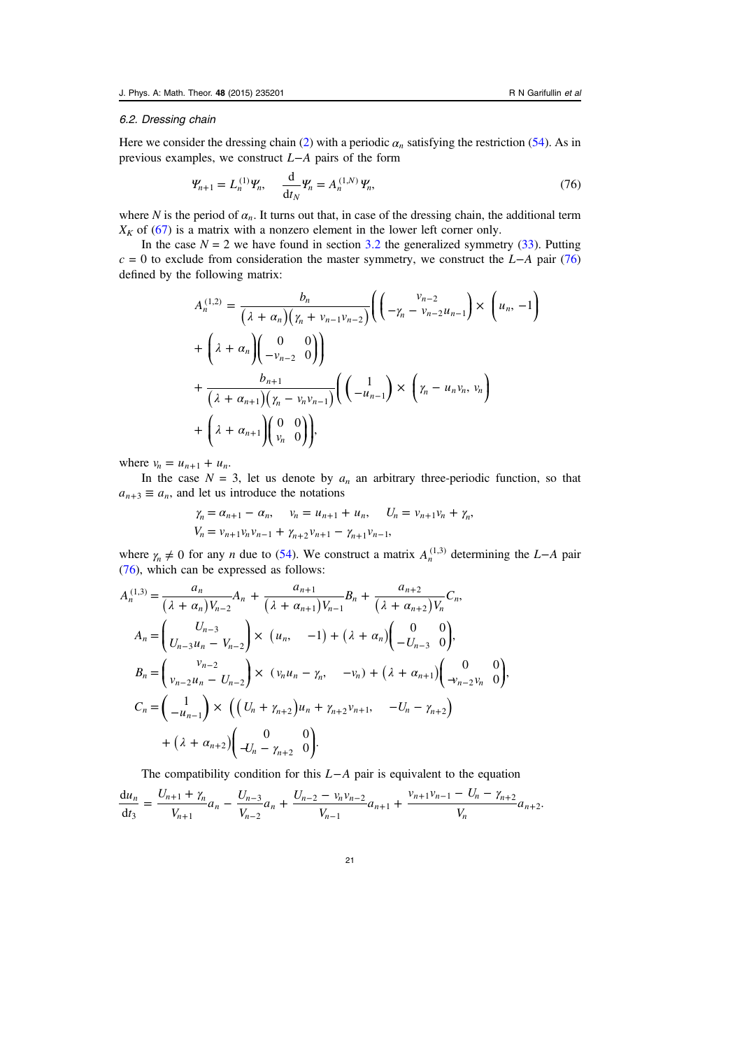#### 6.2. Dressing chain

Here we consider the dressing chain [\(2](#page-1-0)) with a periodic  $\alpha_n$  satisfying the restriction [\(54](#page-14-0)). As in previous examples, we construct *L*−*A* pairs of the form

$$
\mathcal{Y}_{n+1} = L_n^{(1)} \mathcal{Y}_n, \quad \frac{\mathrm{d}}{\mathrm{d}t_N} \mathcal{Y}_n = A_n^{(1,N)} \mathcal{Y}_n,\tag{76}
$$

where N is the period of  $\alpha_n$ . It turns out that, in case of the dressing chain, the additional term  $X_K$  of ([67\)](#page-17-0) is a matrix with a nonzero element in the lower left corner only.

In the case  $N = 2$  we have found in section [3.2](#page-8-0) the generalized symmetry ([33\)](#page-8-0). Putting c = 0 to exclude from consideration the master symmetry, we construct the *L*−*A* pair (76) defined by the following matrix:

$$
A_n^{(1,2)} = \frac{b_n}{(\lambda + \alpha_n)(\gamma_n + \nu_{n-1}\nu_{n-2})} \left( \left( -\gamma_n - \nu_{n-2}u_{n-1} \right) \times \left( u_n, -1 \right) \right)
$$
  
+ 
$$
\left( \lambda + \alpha_n \right) \left( \begin{matrix} 0 & 0 \\ -\nu_{n-2} & 0 \end{matrix} \right)
$$
  
+ 
$$
\frac{b_{n+1}}{(\lambda + \alpha_{n+1})(\gamma_n - \nu_n\nu_{n-1})} \left( \left( \begin{matrix} 1 \\ -u_{n-1} \end{matrix} \right) \times \left( \gamma_n - u_n\nu_n, \nu_n \right) \right)
$$
  
+ 
$$
\left( \lambda + \alpha_{n+1} \right) \left( \begin{matrix} 0 & 0 \\ \nu_n & 0 \end{matrix} \right),
$$

where  $v_n = u_{n+1} + u_n$ .

In the case  $N = 3$ , let us denote by  $a_n$  an arbitrary three-periodic function, so that  $a_{n+3} \equiv a_n$ , and let us introduce the notations

$$
\gamma_n = \alpha_{n+1} - \alpha_n, \quad \gamma_n = u_{n+1} + u_n, \quad U_n = v_{n+1}v_n + \gamma_n,
$$
  

$$
V_n = v_{n+1}v_n v_{n-1} + \gamma_{n+2}v_{n+1} - \gamma_{n+1}v_{n-1},
$$

where  $\gamma_n \neq 0$  for any *n* due to [\(54](#page-14-0)). We construct a matrix  $A_n^{(1,3)}$  determining the *L*−*A* pair (76), which can be expressed as follows:

$$
A_n^{(1,3)} = \frac{a_n}{(\lambda + \alpha_n)V_{n-2}} A_n + \frac{a_{n+1}}{(\lambda + \alpha_{n+1})V_{n-1}} B_n + \frac{a_{n+2}}{(\lambda + \alpha_{n+2})V_n} C_n,
$$
  
\n
$$
A_n = \begin{pmatrix} U_{n-3} \\ U_{n-3}u_n - V_{n-2} \end{pmatrix} \times (u_n, -1) + (\lambda + \alpha_n) \begin{pmatrix} 0 & 0 \\ -U_{n-3} & 0 \end{pmatrix},
$$
  
\n
$$
B_n = \begin{pmatrix} v_{n-2} \\ v_{n-2}u_n - U_{n-2} \end{pmatrix} \times (v_n u_n - \gamma_n, -v_n) + (\lambda + \alpha_{n+1}) \begin{pmatrix} 0 & 0 \\ -v_{n-2}v_n & 0 \end{pmatrix},
$$
  
\n
$$
C_n = \begin{pmatrix} 1 \\ -u_{n-1} \end{pmatrix} \times \left( \begin{pmatrix} U_n + \gamma_{n+2} \end{pmatrix} u_n + \gamma_{n+2}v_{n+1}, -U_n - \gamma_{n+2} \right)
$$
  
\n
$$
+ (\lambda + \alpha_{n+2}) \begin{pmatrix} 0 & 0 \\ -V_n - \gamma_{n+2} & 0 \end{pmatrix}.
$$

The compatibility condition for this *L*−*A* pair is equivalent to the equation

 $=\frac{U_{n+1} + \gamma_n}{\gamma} a_n - \frac{U_{n-3}}{\gamma} a_n + \frac{U_{n-2} - \gamma_n v_{n-2}}{\gamma} a_{n+1} + \frac{v_{n+1}v_{n-1} - U_n - \gamma_n}{\gamma}$ + − −  $-2 - V_n V_{n-1}$  $\frac{u_n}{u_n} = \frac{U_{n+1} + \gamma_n}{V_{n+1}} a_n - \frac{U_{n-3}}{V_{n-2}} a_n + \frac{U_{n-2} - \gamma_n \nu_{n-2}}{V_{n-1}} a_{n+1} + \frac{\nu_{n+1} \nu_{n-1} - U_n - \gamma_{n+2}}{V_n} a_{n+1}$ *t U*  $\frac{+1 + \gamma_n}{V_{n+1}} a_n - \frac{U_n}{V_n}$  $\frac{U_{n-3}}{V_{n-2}}a_n + \frac{U_{n-2} - v_n v}{V_{n-1}}$  $\frac{v_n v_{n-2}}{V_{n-1}}$ a  $v_{n+1}v_{n-1} - U$  $\frac{du_n}{dt_3} = \frac{U_{n+1} + \gamma_n}{V_{n+1}} a_n - \frac{U_{n-3}}{V_{n-2}} a_n + \frac{U_{n-2} - \gamma_n \nu_{n-2}}{V_{n-1}} a_{n+1} + \frac{\nu_{n+1} \nu_{n-1} - U_n - \gamma_{n+2}}{V_n} a_{n+2}$  $\frac{1}{3}$  =  $\frac{1}{V_{n+1}}a_n - \frac{1}{V_{n-2}}a_n + \frac{1}{V_{n-1}}a_{n+1} + \frac{1}{V_n}a_n$ 1 1 3 2  $2 - V_n V_{n-2}$  $\frac{v_n v_{n-2}}{1} a_{n+1} + \frac{v_{n+1} v_{n-1} - v_n - \gamma_{n+2}}{V_n} a_{n+2}$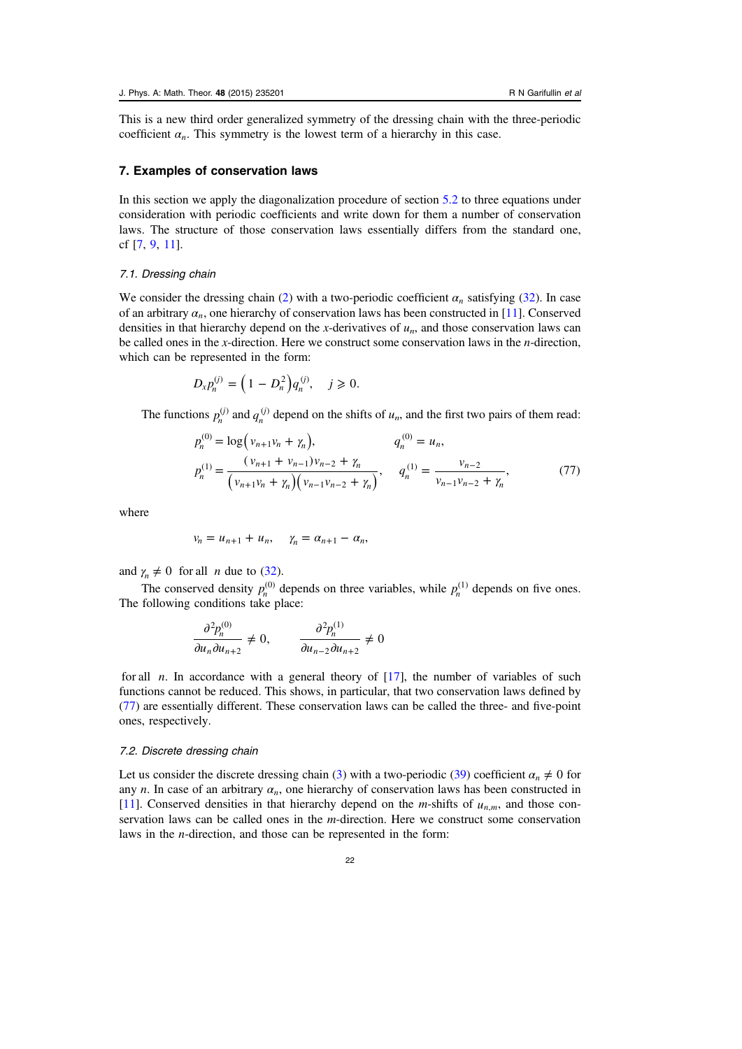<span id="page-21-0"></span>This is a new third order generalized symmetry of the dressing chain with the three-periodic coefficient  $\alpha_n$ . This symmetry is the lowest term of a hierarchy in this case.

# 7. Examples of conservation laws

In this section we apply the diagonalization procedure of section [5.2](#page-11-0) to three equations under consideration with periodic coefficients and write down for them a number of conservation laws. The structure of those conservation laws essentially differs from the standard one, cf [[7,](#page-25-0) [9,](#page-25-0) [11](#page-25-0)].

#### 7.1. Dressing chain

We consider the dressing chain ([2\)](#page-1-0) with a two-periodic coefficient  $\alpha_n$  satisfying ([32\)](#page-8-0). In case of an arbitrary  $\alpha_n$ , one hierarchy of conservation laws has been constructed in [[11\]](#page-25-0). Conserved densities in that hierarchy depend on the x-derivatives of  $u_n$ , and those conservation laws can be called ones in the x-direction. Here we construct some conservation laws in the  $n$ -direction, which can be represented in the form:

$$
D_{x}p_{n}^{(j)} = (1 - D_{n}^{2})q_{n}^{(j)}, \quad j \geq 0.
$$

The functions  $p_n^{(j)}$  and  $q_n^{(j)}$  depend on the shifts of  $u_n$ , and the first two pairs of them read:

$$
p_n^{(0)} = \log(v_{n+1}v_n + \gamma_n), \qquad q_n^{(0)} = u_n,
$$
  
\n
$$
p_n^{(1)} = \frac{(v_{n+1} + v_{n-1})v_{n-2} + \gamma_n}{(v_{n+1}v_n + \gamma_n)(v_{n-1}v_{n-2} + \gamma_n)}, \qquad q_n^{(1)} = \frac{v_{n-2}}{v_{n-1}v_{n-2} + \gamma_n},
$$
\n(77)

where

$$
v_n = u_{n+1} + u_n, \quad \gamma_n = \alpha_{n+1} - \alpha_n,
$$

and  $\gamma_n \neq 0$  for all *n* due to [\(32](#page-8-0)).

The conserved density  $p_n^{(0)}$  depends on three variables, while  $p_n^{(1)}$  depends on five ones. The following conditions take place:

$$
\frac{\partial^2 p_n^{(0)}}{\partial u_n \partial u_{n+2}} \neq 0, \qquad \frac{\partial^2 p_n^{(1)}}{\partial u_{n-2} \partial u_{n+2}} \neq 0
$$

for all *n*. In accordance with a general theory of  $[17]$  $[17]$ , the number of variables of such functions cannot be reduced. This shows, in particular, that two conservation laws defined by (77) are essentially different. These conservation laws can be called the three- and five-point ones, respectively.

#### 7.2. Discrete dressing chain

Let us consider the discrete dressing chain ([3\)](#page-1-0) with a two-periodic [\(39](#page-10-0)) coefficient  $\alpha_n \neq 0$  for any *n*. In case of an arbitrary  $\alpha_n$ , one hierarchy of conservation laws has been constructed in [[11\]](#page-25-0). Conserved densities in that hierarchy depend on the *m*-shifts of  $u_{n,m}$ , and those conservation laws can be called ones in the m-direction. Here we construct some conservation laws in the n-direction, and those can be represented in the form: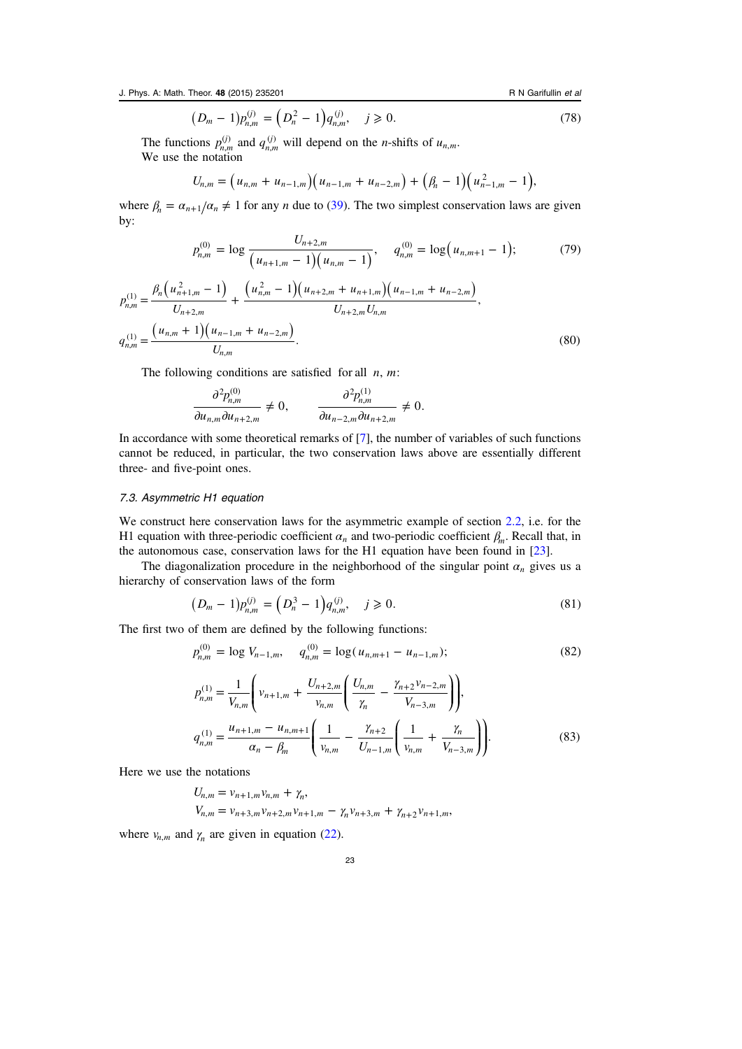J. Phys. A: Math. Theor. 48 (2015) 235201 **R** N Garifullin et al.

$$
(D_m - 1)p_{n,m}^{(j)} = (D_n^2 - 1)q_{n,m}^{(j)}, \quad j \ge 0.
$$
 (78)

The functions  $p_{n,m}^{(j)}$  and  $q_{n,m}^{(j)}$  will depend on the *n*-shifts of  $u_{n,m}$ . We use the notation

$$
U_{n,m} = (u_{n,m} + u_{n-1,m})(u_{n-1,m} + u_{n-2,m}) + (\beta_n - 1)(u_{n-1,m}^2 - 1),
$$

where  $\beta_n = \alpha_{n+1}/\alpha_n \neq 1$  for any *n* due to ([39\)](#page-10-0). The two simplest conservation laws are given by:

$$
p_{n,m}^{(0)} = \log \frac{U_{n+2,m}}{\left(u_{n+1,m} - 1\right)\left(u_{n,m} - 1\right)}, \quad q_{n,m}^{(0)} = \log \left(u_{n,m+1} - 1\right); \tag{79}
$$

$$
p_{n,m}^{(1)} = \frac{\beta_n \left( u_{n+1,m}^2 - 1 \right)}{U_{n+2,m}} + \frac{\left( u_{n,m}^2 - 1 \right) \left( u_{n+2,m} + u_{n+1,m} \right) \left( u_{n-1,m} + u_{n-2,m} \right)}{U_{n+2,m} U_{n,m}},
$$
\n
$$
q_{n,m}^{(1)} = \frac{\left( u_{n,m} + 1 \right) \left( u_{n-1,m} + u_{n-2,m} \right)}{U_{n,m}}.
$$
\n
$$
(80)
$$

The following conditions are satisfied for all *n*, *m*:

$$
\frac{\partial^2 p_{n,m}^{(0)}}{\partial u_{n,m} \partial u_{n+2,m}} \neq 0, \qquad \frac{\partial^2 p_{n,m}^{(1)}}{\partial u_{n-2,m} \partial u_{n+2,m}} \neq 0.
$$

In accordance with some theoretical remarks of [[7\]](#page-25-0), the number of variables of such functions cannot be reduced, in particular, the two conservation laws above are essentially different three- and five-point ones.

# 7.3. Asymmetric H1 equation

We construct here conservation laws for the asymmetric example of section [2.2](#page-5-0), i.e. for the H1 equation with three-periodic coefficient  $\alpha_n$  and two-periodic coefficient  $\beta_m$ . Recall that, in the autonomous case, conservation laws for the H1 equation have been found in [\[23](#page-26-0)].

The diagonalization procedure in the neighborhood of the singular point  $\alpha_n$  gives us a hierarchy of conservation laws of the form

$$
(D_m - 1)p_{n,m}^{(j)} = (D_n^3 - 1)q_{n,m}^{(j)}, \quad j \ge 0.
$$
\n(81)

The first two of them are defined by the following functions:

$$
p_{n,m}^{(0)} = \log V_{n-1,m}, \quad q_{n,m}^{(0)} = \log (u_{n,m+1} - u_{n-1,m});
$$
\n
$$
p_{n,m}^{(1)} = \frac{1}{V} \left( v_{n+1,m} + \frac{U_{n+2,m}}{v_{n-1,m}} \left( \frac{U_{n,m}}{v_{n-1}} - \frac{\gamma_{n+2} v_{n-2,m}}{v_{n-1}} \right) \right),
$$
\n(82)

$$
p_{n,m}^{(1)} = \frac{1}{V_{n,m}} \left( v_{n+1,m} + \frac{v_{n+2,m}}{v_{n,m}} \left( \frac{v_{n,m}}{\gamma_n} - \frac{v_{n+2,m}}{v_{n-3,m}} \right) \right),
$$
  
\n
$$
q_{n,m}^{(1)} = \frac{u_{n+1,m} - u_{n,m+1}}{\alpha_n - \beta_m} \left( \frac{1}{v_{n,m}} - \frac{\gamma_{n+2}}{U_{n-1,m}} \left( \frac{1}{v_{n,m}} + \frac{\gamma_n}{V_{n-3,m}} \right) \right).
$$
\n(83)

Here we use the notations

$$
U_{n,m} = v_{n+1,m}v_{n,m} + \gamma_n,
$$
  
\n
$$
V_{n,m} = v_{n+3,m}v_{n+2,m}v_{n+1,m} - \gamma_n v_{n+3,m} + \gamma_{n+2}v_{n+1,m},
$$

where  $v_{n,m}$  and  $\gamma_n$  are given in equation [\(22](#page-6-0)).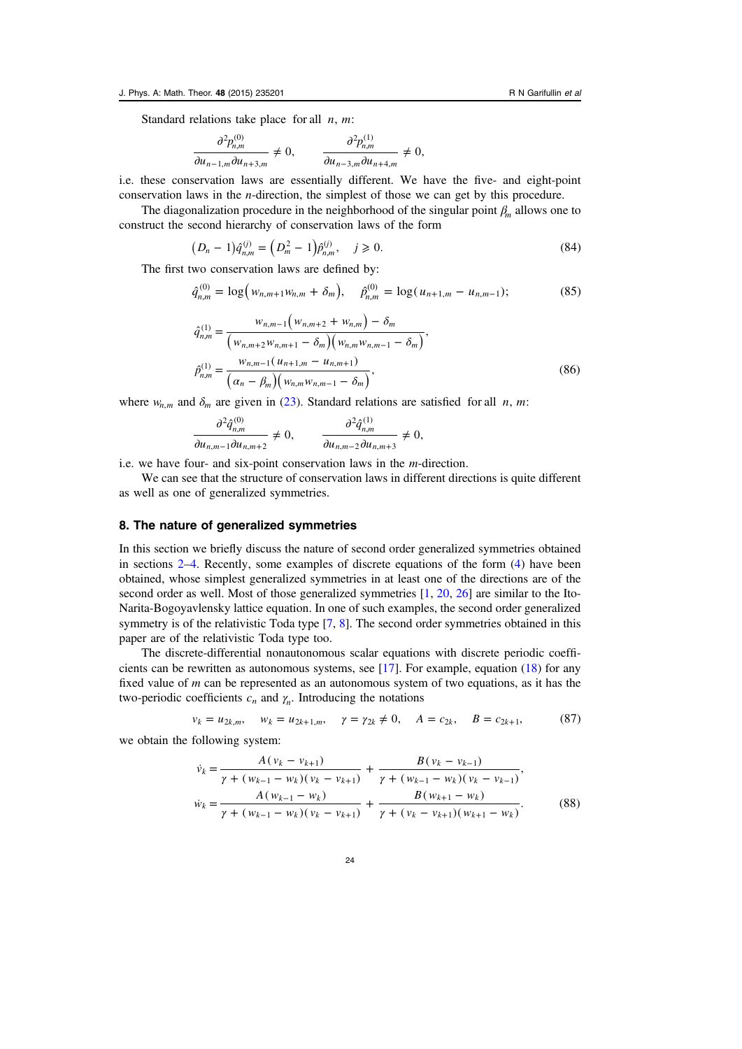<span id="page-23-0"></span>Standard relations take place for all *n*, *m*:

$$
\frac{\partial^2 p_{n,m}^{(0)}}{\partial u_{n-1,m} \partial u_{n+3,m}} \neq 0, \qquad \frac{\partial^2 p_{n,m}^{(1)}}{\partial u_{n-3,m} \partial u_{n+4,m}} \neq 0,
$$

i.e. these conservation laws are essentially different. We have the five- and eight-point conservation laws in the n-direction, the simplest of those we can get by this procedure.

The diagonalization procedure in the neighborhood of the singular point *β<sup>m</sup>* allows one to construct the second hierarchy of conservation laws of the form

$$
(D_n - 1)\hat{q}_{n,m}^{(j)} = (D_m^2 - 1)\hat{p}_{n,m}^{(j)}, \quad j \ge 0.
$$
\n(84)

The first two conservation laws are defined by:

$$
\hat{q}_{n,m}^{(0)} = \log \left( w_{n,m+1} w_{n,m} + \delta_m \right), \quad \hat{p}_{n,m}^{(0)} = \log \left( u_{n+1,m} - u_{n,m-1} \right); \tag{85}
$$

 $\mathcal{L}$ 

$$
\hat{q}_{n,m}^{(1)} = \frac{w_{n,m-1}(w_{n,m+2} + w_{n,m}) - \delta_m}{(w_{n,m+2}w_{n,m+1} - \delta_m)(w_{n,m}w_{n,m-1} - \delta_m)},
$$
\n
$$
\hat{p}_{n,m}^{(1)} = \frac{w_{n,m-1}(u_{n+1,m} - u_{n,m+1})}{(\alpha_n - \beta_m)(w_{n,m}w_{n,m-1} - \delta_m)},
$$
\n(86)

where  $w_{n,m}$  and  $\delta_m$  are given in ([23\)](#page-6-0). Standard relations are satisfied for all *n*, *m*:

$$
\frac{\partial^2 \hat{q}_{n,m}^{(0)}}{\partial u_{n,m-1} \partial u_{n,m+2}} \neq 0, \qquad \frac{\partial^2 \hat{q}_{n,m}^{(1)}}{\partial u_{n,m-2} \partial u_{n,m+3}} \neq 0,
$$

i.e. we have four- and six-point conservation laws in the m-direction.

 $\mathcal{L}$ 

We can see that the structure of conservation laws in different directions is quite different as well as one of generalized symmetries.

# 8. The nature of generalized symmetries

In this section we briefly discuss the nature of second order generalized symmetries obtained in sections [2](#page-2-0)–[4.](#page-9-0) Recently, some examples of discrete equations of the form [\(4](#page-1-0)) have been obtained, whose simplest generalized symmetries in at least one of the directions are of the second order as well. Most of those generalized symmetries [\[1](#page-25-0), [20,](#page-26-0) [26\]](#page-26-0) are similar to the Ito-Narita-Bogoyavlensky lattice equation. In one of such examples, the second order generalized symmetry is of the relativistic Toda type [\[7](#page-25-0), [8](#page-25-0)]. The second order symmetries obtained in this paper are of the relativistic Toda type too.

The discrete-differential nonautonomous scalar equations with discrete periodic coefficients can be rewritten as autonomous systems, see [[17\]](#page-25-0). For example, equation [\(18](#page-4-0)) for any fixed value of  $m$  can be represented as an autonomous system of two equations, as it has the two-periodic coefficients  $c_n$  and  $\gamma_n$ . Introducing the notations

$$
v_k = u_{2k,m}, \quad w_k = u_{2k+1,m}, \quad \gamma = \gamma_{2k} \neq 0, \quad A = c_{2k}, \quad B = c_{2k+1}, \tag{87}
$$

we obtain the following system:

$$
\dot{v}_k = \frac{A(v_k - v_{k+1})}{\gamma + (w_{k-1} - w_k)(v_k - v_{k+1})} + \frac{B(v_k - v_{k-1})}{\gamma + (w_{k-1} - w_k)(v_k - v_{k-1})},
$$
\n
$$
\dot{w}_k = \frac{A(w_{k-1} - w_k)}{\gamma + (w_{k-1} - w_k)(v_k - v_{k+1})} + \frac{B(w_{k+1} - w_k)}{\gamma + (v_k - v_{k+1})(w_{k+1} - w_k)}.
$$
\n(88)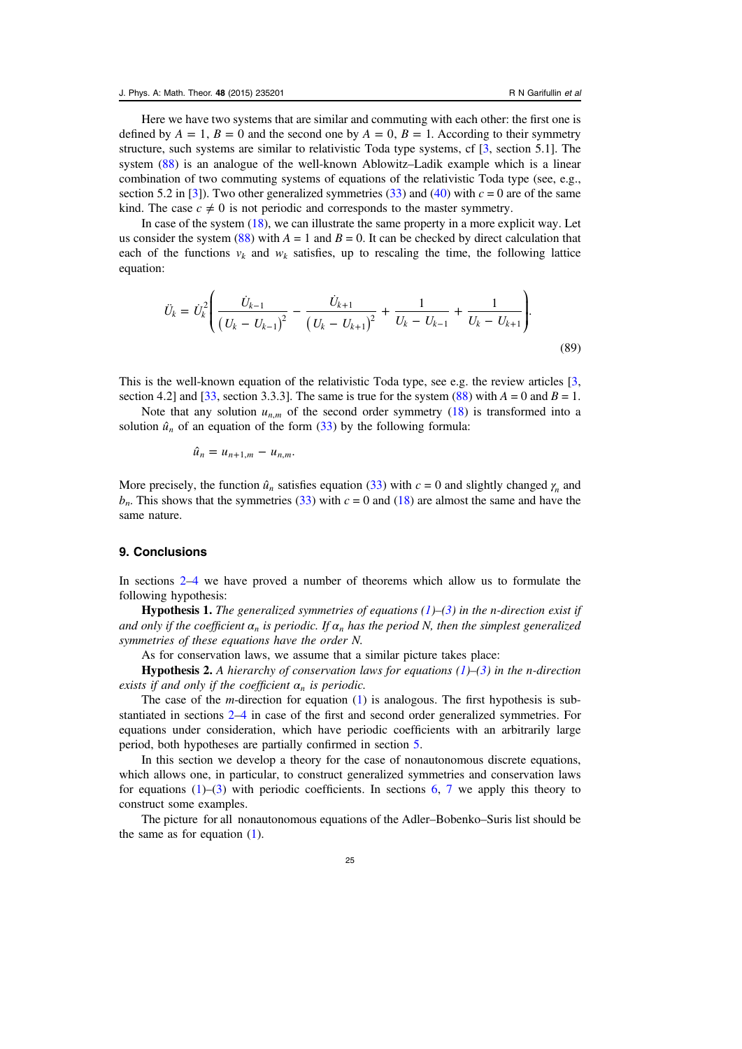Here we have two systems that are similar and commuting with each other: the first one is defined by  $A = 1$ ,  $B = 0$  and the second one by  $A = 0$ ,  $B = 1$ . According to their symmetry structure, such systems are similar to relativistic Toda type systems, cf [[3,](#page-25-0) section 5.1]. The system [\(88](#page-23-0)) is an analogue of the well-known Ablowitz–Ladik example which is a linear combination of two commuting systems of equations of the relativistic Toda type (see, e.g., section 5.2 in [\[3](#page-25-0)]). Two other generalized symmetries ([33\)](#page-8-0) and [\(40](#page-10-0)) with  $c = 0$  are of the same kind. The case  $c \neq 0$  is not periodic and corresponds to the master symmetry.

In case of the system ([18\)](#page-4-0), we can illustrate the same property in a more explicit way. Let us consider the system [\(88](#page-23-0)) with  $A = 1$  and  $B = 0$ . It can be checked by direct calculation that each of the functions  $v_k$  and  $w_k$  satisfies, up to rescaling the time, the following lattice equation:

$$
\ddot{U}_k = \dot{U}_k^2 \left( \frac{\dot{U}_{k-1}}{\left( U_k - U_{k-1} \right)^2} - \frac{\dot{U}_{k+1}}{\left( U_k - U_{k+1} \right)^2} + \frac{1}{U_k - U_{k-1}} + \frac{1}{U_k - U_{k+1}} \right).
$$
\n(89)

This is the well-known equation of the relativistic Toda type, see e.g. the review articles [[3,](#page-25-0) section 4.2] and [\[33](#page-26-0), section 3.3.3]. The same is true for the system  $(88)$  $(88)$  with  $A = 0$  and  $B = 1$ .

Note that any solution  $u_{n,m}$  of the second order symmetry ([18\)](#page-4-0) is transformed into a solution  $\hat{u}_n$  of an equation of the form  $(33)$  $(33)$  by the following formula:

$$
\hat{u}_n = u_{n+1,m} - u_{n,m}.
$$

More precisely, the function  $\hat{u}_n$  satisfies equation [\(33](#page-8-0)) with  $c = 0$  and slightly changed  $\gamma_n$  and  $b_n$ . This shows that the symmetries [\(33](#page-8-0)) with  $c = 0$  and [\(18](#page-4-0)) are almost the same and have the same nature.

# 9. Conclusions

In sections [2](#page-2-0)–[4](#page-9-0) we have proved a number of theorems which allow us to formulate the following hypothesis:

**Hypothesis 1.** The generalized symmetries of equations  $(1)$  $(1)$ – $(3)$  $(3)$  in the n-direction exist if and only if the coefficient  $\alpha_n$  is periodic. If  $\alpha_n$  has the period N, then the simplest generalized symmetries of these equations have the order N.

As for conservation laws, we assume that a similar picture takes place:

**Hypothesis 2.** A hierarchy of conservation laws for equations  $(1)$  $(1)$ – $(3)$  $(3)$  in the n-direction exists if and only if the coefficient  $\alpha_n$  is periodic.

The case of the  $m$ -direction for equation  $(1)$  $(1)$  is analogous. The first hypothesis is substantiated in sections [2](#page-2-0)–[4](#page-9-0) in case of the first and second order generalized symmetries. For equations under consideration, which have periodic coefficients with an arbitrarily large period, both hypotheses are partially confirmed in section [5.](#page-10-0)

In this section we develop a theory for the case of nonautonomous discrete equations, which allows one, in particular, to construct generalized symmetries and conservation laws for equations  $(1)$  $(1)$ – $(3)$  $(3)$  with periodic coefficients. In sections [6](#page-19-0), [7](#page-21-0) we apply this theory to construct some examples.

The picture for all nonautonomous equations of the Adler–Bobenko–Suris list should be the same as for equation [\(1](#page-1-0)).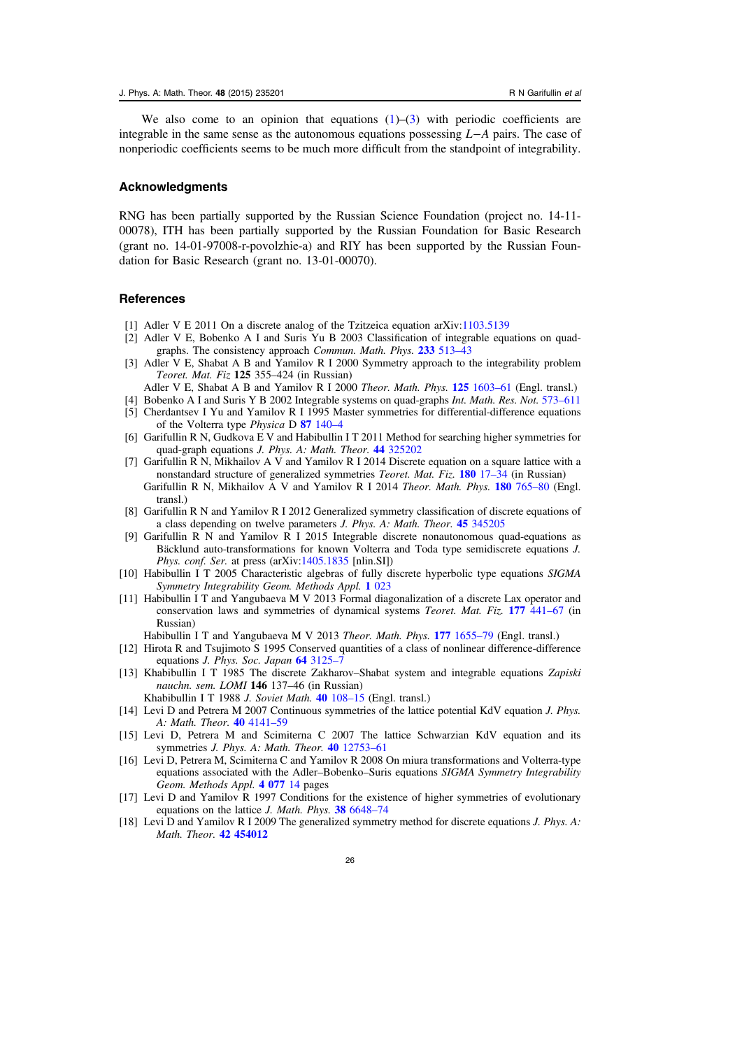<span id="page-25-0"></span>We also come to an opinion that equations  $(1)$  $(1)$ – $(3)$  $(3)$  with periodic coefficients are integrable in the same sense as the autonomous equations possessing *L*−*A* pairs. The case of nonperiodic coefficients seems to be much more difficult from the standpoint of integrability.

#### Acknowledgments

RNG has been partially supported by the Russian Science Foundation (project no. 14-11- 00078), ITH has been partially supported by the Russian Foundation for Basic Research (grant no. 14-01-97008-r-povolzhie-a) and RIY has been supported by the Russian Foundation for Basic Research (grant no. 13-01-00070).

# References

- [1] Adler V E 2011 On a discrete analog of the Tzitzeica equation arXiv:[1103.5139](http://arXiv.org/abs/1103.5139 )
- [2] Adler V E, Bobenko A I and Suris Yu B 2003 Classification of integrable equations on quadgraphs. The consistency approach Commun. Math. Phys. [233](http://dx.doi.org/10.1007/s00220-002-0762-8) [513](http://dx.doi.org/10.1007/s00220-002-0762-8)–43
- [3] Adler V E, Shabat A B and Yamilov R I 2000 Symmetry approach to the integrability problem Teoret. Mat. Fiz 125 355–424 (in Russian)
- Adler V E, Shabat A B and Yamilov R I 2000 Theor. Math. Phys. 125 [1603](http://dx.doi.org/10.1023/A:1026602012111)-61 (Engl. transl.)
- [4] Bobenko A I and Suris Y B 2002 Integrable systems on quad-graphs Int. Math. Res. Not. [573](http://dx.doi.org/10.1155/S1073792802110075)–611 [5] Cherdantsev I Yu and Yamilov R I 1995 Master symmetries for differential-difference equations
- of the Volterra type Physica D 87 [140](http://dx.doi.org/10.1016/0167-2789(95)00167-3)–4
- [6] Garifullin R N, Gudkova E V and Habibullin I T 2011 Method for searching higher symmetries for quad-graph equations J. Phys. A: Math. Theor. 44 [325202](http://dx.doi.org/10.1088/1751-8113/44/32/325202)
- [7] Garifullin R N, Mikhailov A V and Yamilov R I 2014 Discrete equation on a square lattice with a nonstandard structure of generalized symmetries *Teoret. Mat. Fiz.* [180](http://dx.doi.org/10.1007/s11232-014-0178-6) 17–34 (in Russian) Garifullin R N, Mikhailov A V and Yamilov R I 2014 Theor. Math. Phys. 180 [765](http://dx.doi.org/10.1007/s11232-014-0178-6)–80 (Engl. transl.)
- [8] Garifullin R N and Yamilov R I 2012 Generalized symmetry classification of discrete equations of a class depending on twelve parameters J. Phys. A: Math. Theor. 45 [345205](http://dx.doi.org/10.1088/1751-8113/45/34/345205)
- [9] Garifullin R N and Yamilov R I 2015 Integrable discrete nonautonomous quad-equations as Bäcklund auto-transformations for known Volterra and Toda type semidiscrete equations J. Phys. conf. Ser. at press (arXiv:[1405.1835](http://arXiv.org/abs/1405.1835) [nlin.SI])
- [10] Habibullin I T 2005 Characteristic algebras of fully discrete hyperbolic type equations SIGMA Symmetry Integrability Geom. Methods Appl. 1 [023](http://dx.doi.org/10.3842/SIGMA.2005.023)
- [11] Habibullin I T and Yangubaeva M V 2013 Formal diagonalization of a discrete Lax operator and conservation laws and symmetries of dynamical systems *Teoret. Mat. Fiz.* 177 [441](http://dx.doi.org/10.1007/s11232-013-0125-y)–67 (in Russian)
	- Habibullin I T and Yangubaeva M V 2013 Theor. Math. Phys. 177 [1655](http://dx.doi.org/10.1007/s11232-013-0125-y)–79 (Engl. transl.)
- [12] Hirota R and Tsujimoto S 1995 Conserved quantities of a class of nonlinear difference-difference equations J. Phys. Soc. Japan 64 [3125](http://dx.doi.org/10.1143/JPSJ.64.3125)-7
- [13] Khabibullin I T 1985 The discrete Zakharov–Shabat system and integrable equations Zapiski nauchn. sem. LOMI 146 137–46 (in Russian)
	- Khabibullin I T 1988 *J. Soviet Math.* 40 [108](http://dx.doi.org/10.1007/BF01084942)–15 (Engl. transl.)
- [14] Levi D and Petrera M 2007 Continuous symmetries of the lattice potential KdV equation J. Phys. A: Math. Theor. 40 [4141](http://dx.doi.org/10.1088/1751-8113/40/15/006)–59
- [15] Levi D, Petrera M and Scimiterna C 2007 The lattice Schwarzian KdV equation and its symmetries J. Phys. A: Math. Theor. 40 [12753](http://dx.doi.org/10.1088/1751-8113/40/42/S18)-61
- [16] Levi D, Petrera M, Scimiterna C and Yamilov R 2008 On miura transformations and Volterra-type equations associated with the Adler–Bobenko–Suris equations SIGMA Symmetry Integrability Geom. Methods Appl. [4 077](http://dx.doi.org/10.3842/SIGMA.2008.077) 14 pages
- [17] Levi D and Yamilov R 1997 Conditions for the existence of higher symmetries of evolutionary equations on the lattice J. Math. Phys. 38 [6648](http://dx.doi.org/10.1063/1.532230)-74
- [18] Levi D and Yamilov R I 2009 The generalized symmetry method for discrete equations J. Phys. A: Math. Theor. [42 454012](http://dx.doi.org/10.1088/1751-8113/42/45/454012)